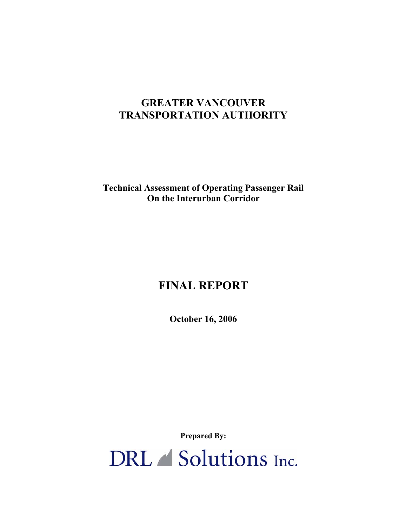# **GREATER VANCOUVER TRANSPORTATION AUTHORITY**

**Technical Assessment of Operating Passenger Rail On the Interurban Corridor** 

# **FINAL REPORT**

**October 16, 2006** 

**Prepared By:** 

DRL Solutions Inc.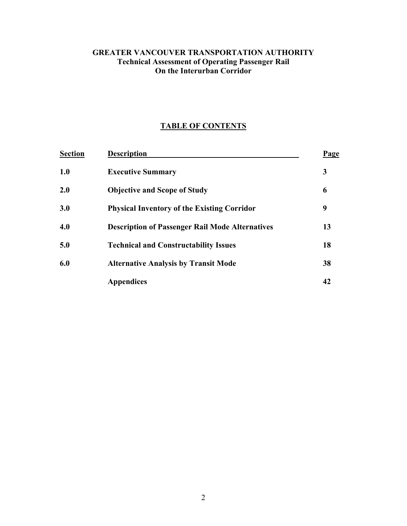### **GREATER VANCOUVER TRANSPORTATION AUTHORITY Technical Assessment of Operating Passenger Rail On the Interurban Corridor**

# **TABLE OF CONTENTS**

| <b>Section</b> | <b>Description</b>                                     | Page |
|----------------|--------------------------------------------------------|------|
| 1.0            | <b>Executive Summary</b>                               | 3    |
| 2.0            | <b>Objective and Scope of Study</b>                    | 6    |
| 3.0            | <b>Physical Inventory of the Existing Corridor</b>     | 9    |
| 4.0            | <b>Description of Passenger Rail Mode Alternatives</b> | 13   |
| 5.0            | <b>Technical and Constructability Issues</b>           | 18   |
| 6.0            | <b>Alternative Analysis by Transit Mode</b>            | 38   |
|                | <b>Appendices</b>                                      | 42   |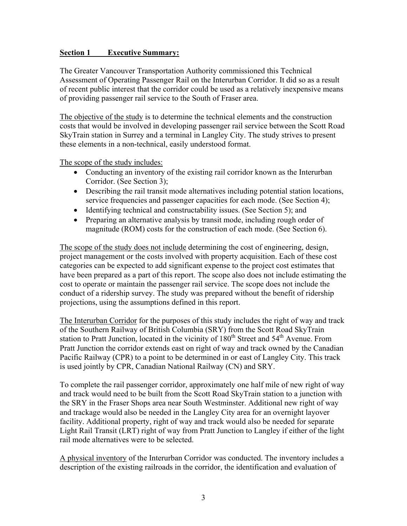#### **Section 1 Executive Summary:**

The Greater Vancouver Transportation Authority commissioned this Technical Assessment of Operating Passenger Rail on the Interurban Corridor. It did so as a result of recent public interest that the corridor could be used as a relatively inexpensive means of providing passenger rail service to the South of Fraser area.

The objective of the study is to determine the technical elements and the construction costs that would be involved in developing passenger rail service between the Scott Road SkyTrain station in Surrey and a terminal in Langley City. The study strives to present these elements in a non-technical, easily understood format.

The scope of the study includes:

- Conducting an inventory of the existing rail corridor known as the Interurban Corridor. (See Section 3);
- Describing the rail transit mode alternatives including potential station locations, service frequencies and passenger capacities for each mode. (See Section 4);
- Identifying technical and constructability issues. (See Section 5); and
- Preparing an alternative analysis by transit mode, including rough order of magnitude (ROM) costs for the construction of each mode. (See Section 6).

The scope of the study does not include determining the cost of engineering, design, project management or the costs involved with property acquisition. Each of these cost categories can be expected to add significant expense to the project cost estimates that have been prepared as a part of this report. The scope also does not include estimating the cost to operate or maintain the passenger rail service. The scope does not include the conduct of a ridership survey. The study was prepared without the benefit of ridership projections, using the assumptions defined in this report.

The Interurban Corridor for the purposes of this study includes the right of way and track of the Southern Railway of British Columbia (SRY) from the Scott Road SkyTrain station to Pratt Junction, located in the vicinity of  $180<sup>th</sup>$  Street and  $54<sup>th</sup>$  Avenue. From Pratt Junction the corridor extends east on right of way and track owned by the Canadian Pacific Railway (CPR) to a point to be determined in or east of Langley City. This track is used jointly by CPR, Canadian National Railway (CN) and SRY.

To complete the rail passenger corridor, approximately one half mile of new right of way and track would need to be built from the Scott Road SkyTrain station to a junction with the SRY in the Fraser Shops area near South Westminster. Additional new right of way and trackage would also be needed in the Langley City area for an overnight layover facility. Additional property, right of way and track would also be needed for separate Light Rail Transit (LRT) right of way from Pratt Junction to Langley if either of the light rail mode alternatives were to be selected.

A physical inventory of the Interurban Corridor was conducted. The inventory includes a description of the existing railroads in the corridor, the identification and evaluation of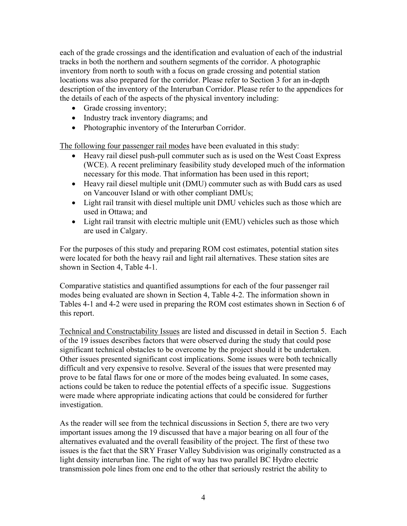each of the grade crossings and the identification and evaluation of each of the industrial tracks in both the northern and southern segments of the corridor. A photographic inventory from north to south with a focus on grade crossing and potential station locations was also prepared for the corridor. Please refer to Section 3 for an in-depth description of the inventory of the Interurban Corridor. Please refer to the appendices for the details of each of the aspects of the physical inventory including:

- Grade crossing inventory;
- Industry track inventory diagrams; and
- Photographic inventory of the Interurban Corridor.

The following four passenger rail modes have been evaluated in this study:

- Heavy rail diesel push-pull commuter such as is used on the West Coast Express (WCE). A recent preliminary feasibility study developed much of the information necessary for this mode. That information has been used in this report;
- Heavy rail diesel multiple unit (DMU) commuter such as with Budd cars as used on Vancouver Island or with other compliant DMUs;
- Light rail transit with diesel multiple unit DMU vehicles such as those which are used in Ottawa; and
- Light rail transit with electric multiple unit (EMU) vehicles such as those which are used in Calgary.

For the purposes of this study and preparing ROM cost estimates, potential station sites were located for both the heavy rail and light rail alternatives. These station sites are shown in Section 4, Table 4-1.

Comparative statistics and quantified assumptions for each of the four passenger rail modes being evaluated are shown in Section 4, Table 4-2. The information shown in Tables 4-1 and 4-2 were used in preparing the ROM cost estimates shown in Section 6 of this report.

Technical and Constructability Issues are listed and discussed in detail in Section 5. Each of the 19 issues describes factors that were observed during the study that could pose significant technical obstacles to be overcome by the project should it be undertaken. Other issues presented significant cost implications. Some issues were both technically difficult and very expensive to resolve. Several of the issues that were presented may prove to be fatal flaws for one or more of the modes being evaluated. In some cases, actions could be taken to reduce the potential effects of a specific issue. Suggestions were made where appropriate indicating actions that could be considered for further investigation.

As the reader will see from the technical discussions in Section 5, there are two very important issues among the 19 discussed that have a major bearing on all four of the alternatives evaluated and the overall feasibility of the project. The first of these two issues is the fact that the SRY Fraser Valley Subdivision was originally constructed as a light density interurban line. The right of way has two parallel BC Hydro electric transmission pole lines from one end to the other that seriously restrict the ability to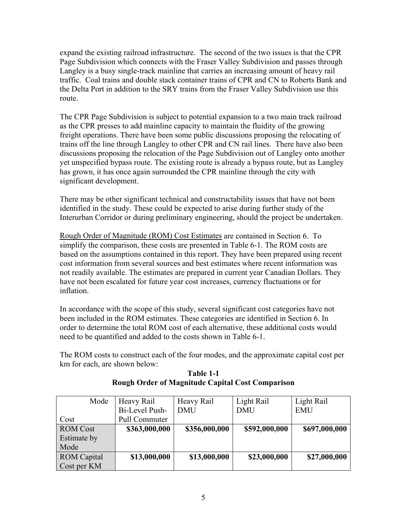expand the existing railroad infrastructure. The second of the two issues is that the CPR Page Subdivision which connects with the Fraser Valley Subdivision and passes through Langley is a busy single-track mainline that carries an increasing amount of heavy rail traffic. Coal trains and double stack container trains of CPR and CN to Roberts Bank and the Delta Port in addition to the SRY trains from the Fraser Valley Subdivision use this route.

The CPR Page Subdivision is subject to potential expansion to a two main track railroad as the CPR presses to add mainline capacity to maintain the fluidity of the growing freight operations. There have been some public discussions proposing the relocating of trains off the line through Langley to other CPR and CN rail lines. There have also been discussions proposing the relocation of the Page Subdivision out of Langley onto another yet unspecified bypass route. The existing route is already a bypass route, but as Langley has grown, it has once again surrounded the CPR mainline through the city with significant development.

There may be other significant technical and constructability issues that have not been identified in the study. These could be expected to arise during further study of the Interurban Corridor or during preliminary engineering, should the project be undertaken.

Rough Order of Magnitude (ROM) Cost Estimates are contained in Section 6. To simplify the comparison, these costs are presented in Table 6-1. The ROM costs are based on the assumptions contained in this report. They have been prepared using recent cost information from several sources and best estimates where recent information was not readily available. The estimates are prepared in current year Canadian Dollars. They have not been escalated for future year cost increases, currency fluctuations or for inflation.

In accordance with the scope of this study, several significant cost categories have not been included in the ROM estimates. These categories are identified in Section 6. In order to determine the total ROM cost of each alternative, these additional costs would need to be quantified and added to the costs shown in Table 6-1.

The ROM costs to construct each of the four modes, and the approximate capital cost per km for each, are shown below:

**Table 1-1 Rough Order of Magnitude Capital Cost Comparison** 

| Mode               | Heavy Rail     | Heavy Rail    | Light Rail    | Light Rail    |
|--------------------|----------------|---------------|---------------|---------------|
|                    | Bi-Level Push- | <b>DMU</b>    | <b>DMU</b>    | <b>EMU</b>    |
| Cost               | Pull Commuter  |               |               |               |
| <b>ROM</b> Cost    | \$363,000,000  | \$356,000,000 | \$592,000,000 | \$697,000,000 |
| Estimate by        |                |               |               |               |
| Mode               |                |               |               |               |
| <b>ROM</b> Capital | \$13,000,000   | \$13,000,000  | \$23,000,000  | \$27,000,000  |
| Cost per KM        |                |               |               |               |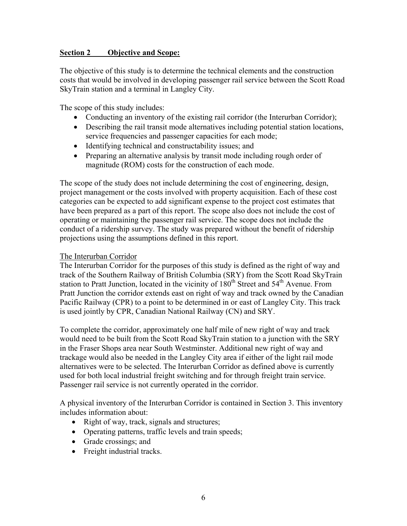#### **Section 2 Objective and Scope:**

The objective of this study is to determine the technical elements and the construction costs that would be involved in developing passenger rail service between the Scott Road SkyTrain station and a terminal in Langley City.

The scope of this study includes:

- Conducting an inventory of the existing rail corridor (the Interurban Corridor);
- Describing the rail transit mode alternatives including potential station locations, service frequencies and passenger capacities for each mode;
- Identifying technical and constructability issues; and
- Preparing an alternative analysis by transit mode including rough order of magnitude (ROM) costs for the construction of each mode.

The scope of the study does not include determining the cost of engineering, design, project management or the costs involved with property acquisition. Each of these cost categories can be expected to add significant expense to the project cost estimates that have been prepared as a part of this report. The scope also does not include the cost of operating or maintaining the passenger rail service. The scope does not include the conduct of a ridership survey. The study was prepared without the benefit of ridership projections using the assumptions defined in this report.

#### The Interurban Corridor

The Interurban Corridor for the purposes of this study is defined as the right of way and track of the Southern Railway of British Columbia (SRY) from the Scott Road SkyTrain station to Pratt Junction, located in the vicinity of  $180<sup>th</sup>$  Street and  $54<sup>th</sup>$  Avenue. From Pratt Junction the corridor extends east on right of way and track owned by the Canadian Pacific Railway (CPR) to a point to be determined in or east of Langley City. This track is used jointly by CPR, Canadian National Railway (CN) and SRY.

To complete the corridor, approximately one half mile of new right of way and track would need to be built from the Scott Road SkyTrain station to a junction with the SRY in the Fraser Shops area near South Westminster. Additional new right of way and trackage would also be needed in the Langley City area if either of the light rail mode alternatives were to be selected. The Interurban Corridor as defined above is currently used for both local industrial freight switching and for through freight train service. Passenger rail service is not currently operated in the corridor.

A physical inventory of the Interurban Corridor is contained in Section 3. This inventory includes information about:

- Right of way, track, signals and structures;
- Operating patterns, traffic levels and train speeds;
- Grade crossings; and
- Freight industrial tracks.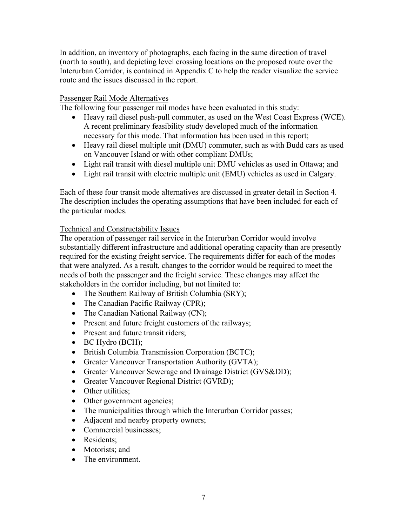In addition, an inventory of photographs, each facing in the same direction of travel (north to south), and depicting level crossing locations on the proposed route over the Interurban Corridor, is contained in Appendix C to help the reader visualize the service route and the issues discussed in the report.

#### Passenger Rail Mode Alternatives

The following four passenger rail modes have been evaluated in this study:

- Heavy rail diesel push-pull commuter, as used on the West Coast Express (WCE). A recent preliminary feasibility study developed much of the information necessary for this mode. That information has been used in this report;
- Heavy rail diesel multiple unit (DMU) commuter, such as with Budd cars as used on Vancouver Island or with other compliant DMUs;
- Light rail transit with diesel multiple unit DMU vehicles as used in Ottawa; and
- Light rail transit with electric multiple unit (EMU) vehicles as used in Calgary.

Each of these four transit mode alternatives are discussed in greater detail in Section 4. The description includes the operating assumptions that have been included for each of the particular modes.

#### Technical and Constructability Issues

The operation of passenger rail service in the Interurban Corridor would involve substantially different infrastructure and additional operating capacity than are presently required for the existing freight service. The requirements differ for each of the modes that were analyzed. As a result, changes to the corridor would be required to meet the needs of both the passenger and the freight service. These changes may affect the stakeholders in the corridor including, but not limited to:

- The Southern Railway of British Columbia (SRY);
- The Canadian Pacific Railway (CPR);
- The Canadian National Railway (CN);
- Present and future freight customers of the railways;
- Present and future transit riders;
- BC Hydro (BCH);
- British Columbia Transmission Corporation (BCTC);
- Greater Vancouver Transportation Authority (GVTA);
- Greater Vancouver Sewerage and Drainage District (GVS&DD);
- Greater Vancouver Regional District (GVRD);
- Other utilities;
- Other government agencies;
- The municipalities through which the Interurban Corridor passes;
- Adjacent and nearby property owners;
- Commercial businesses;
- Residents;
- Motorists; and
- The environment.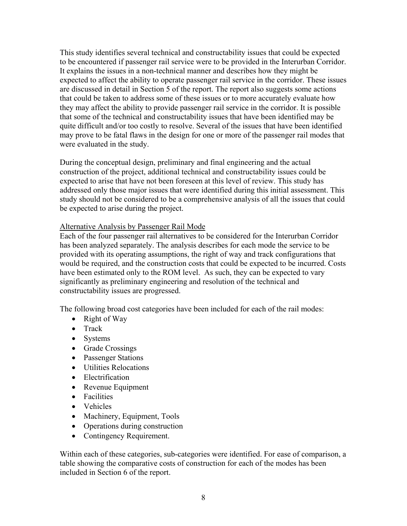This study identifies several technical and constructability issues that could be expected to be encountered if passenger rail service were to be provided in the Interurban Corridor. It explains the issues in a non-technical manner and describes how they might be expected to affect the ability to operate passenger rail service in the corridor. These issues are discussed in detail in Section 5 of the report. The report also suggests some actions that could be taken to address some of these issues or to more accurately evaluate how they may affect the ability to provide passenger rail service in the corridor. It is possible that some of the technical and constructability issues that have been identified may be quite difficult and/or too costly to resolve. Several of the issues that have been identified may prove to be fatal flaws in the design for one or more of the passenger rail modes that were evaluated in the study.

During the conceptual design, preliminary and final engineering and the actual construction of the project, additional technical and constructability issues could be expected to arise that have not been foreseen at this level of review. This study has addressed only those major issues that were identified during this initial assessment. This study should not be considered to be a comprehensive analysis of all the issues that could be expected to arise during the project.

#### Alternative Analysis by Passenger Rail Mode

Each of the four passenger rail alternatives to be considered for the Interurban Corridor has been analyzed separately. The analysis describes for each mode the service to be provided with its operating assumptions, the right of way and track configurations that would be required, and the construction costs that could be expected to be incurred. Costs have been estimated only to the ROM level. As such, they can be expected to vary significantly as preliminary engineering and resolution of the technical and constructability issues are progressed.

The following broad cost categories have been included for each of the rail modes:

- Right of Way
- Track
- Systems
- Grade Crossings
- Passenger Stations
- Utilities Relocations
- Electrification
- Revenue Equipment
- Facilities
- Vehicles
- Machinery, Equipment, Tools
- Operations during construction
- Contingency Requirement.

Within each of these categories, sub-categories were identified. For ease of comparison, a table showing the comparative costs of construction for each of the modes has been included in Section 6 of the report.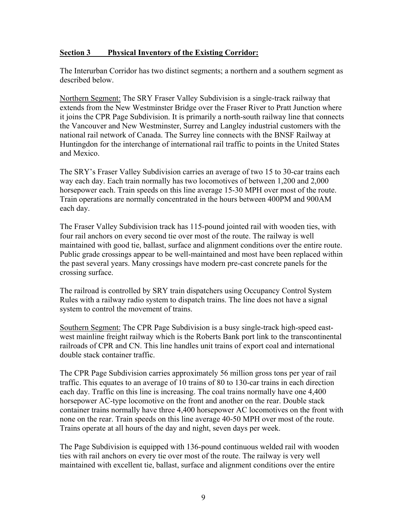#### **Section 3 Physical Inventory of the Existing Corridor:**

The Interurban Corridor has two distinct segments; a northern and a southern segment as described below.

Northern Segment: The SRY Fraser Valley Subdivision is a single-track railway that extends from the New Westminster Bridge over the Fraser River to Pratt Junction where it joins the CPR Page Subdivision. It is primarily a north-south railway line that connects the Vancouver and New Westminster, Surrey and Langley industrial customers with the national rail network of Canada. The Surrey line connects with the BNSF Railway at Huntingdon for the interchange of international rail traffic to points in the United States and Mexico.

The SRY's Fraser Valley Subdivision carries an average of two 15 to 30-car trains each way each day. Each train normally has two locomotives of between 1,200 and 2,000 horsepower each. Train speeds on this line average 15-30 MPH over most of the route. Train operations are normally concentrated in the hours between 400PM and 900AM each day.

The Fraser Valley Subdivision track has 115-pound jointed rail with wooden ties, with four rail anchors on every second tie over most of the route. The railway is well maintained with good tie, ballast, surface and alignment conditions over the entire route. Public grade crossings appear to be well-maintained and most have been replaced within the past several years. Many crossings have modern pre-cast concrete panels for the crossing surface.

The railroad is controlled by SRY train dispatchers using Occupancy Control System Rules with a railway radio system to dispatch trains. The line does not have a signal system to control the movement of trains.

Southern Segment: The CPR Page Subdivision is a busy single-track high-speed eastwest mainline freight railway which is the Roberts Bank port link to the transcontinental railroads of CPR and CN. This line handles unit trains of export coal and international double stack container traffic.

The CPR Page Subdivision carries approximately 56 million gross tons per year of rail traffic. This equates to an average of 10 trains of 80 to 130-car trains in each direction each day. Traffic on this line is increasing. The coal trains normally have one 4,400 horsepower AC-type locomotive on the front and another on the rear. Double stack container trains normally have three 4,400 horsepower AC locomotives on the front with none on the rear. Train speeds on this line average 40-50 MPH over most of the route. Trains operate at all hours of the day and night, seven days per week.

The Page Subdivision is equipped with 136-pound continuous welded rail with wooden ties with rail anchors on every tie over most of the route. The railway is very well maintained with excellent tie, ballast, surface and alignment conditions over the entire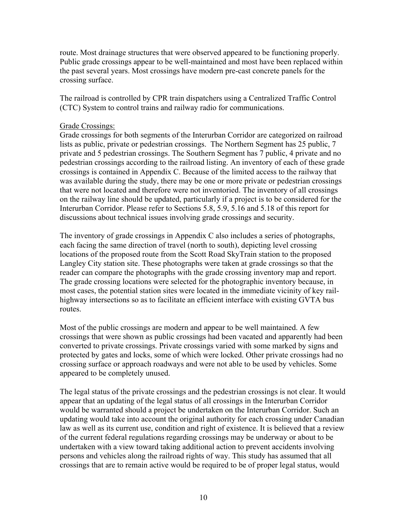route. Most drainage structures that were observed appeared to be functioning properly. Public grade crossings appear to be well-maintained and most have been replaced within the past several years. Most crossings have modern pre-cast concrete panels for the crossing surface.

The railroad is controlled by CPR train dispatchers using a Centralized Traffic Control (CTC) System to control trains and railway radio for communications.

#### Grade Crossings:

Grade crossings for both segments of the Interurban Corridor are categorized on railroad lists as public, private or pedestrian crossings. The Northern Segment has 25 public, 7 private and 5 pedestrian crossings. The Southern Segment has 7 public, 4 private and no pedestrian crossings according to the railroad listing. An inventory of each of these grade crossings is contained in Appendix C. Because of the limited access to the railway that was available during the study, there may be one or more private or pedestrian crossings that were not located and therefore were not inventoried. The inventory of all crossings on the railway line should be updated, particularly if a project is to be considered for the Interurban Corridor. Please refer to Sections 5.8, 5.9, 5.16 and 5.18 of this report for discussions about technical issues involving grade crossings and security.

The inventory of grade crossings in Appendix C also includes a series of photographs, each facing the same direction of travel (north to south), depicting level crossing locations of the proposed route from the Scott Road SkyTrain station to the proposed Langley City station site. These photographs were taken at grade crossings so that the reader can compare the photographs with the grade crossing inventory map and report. The grade crossing locations were selected for the photographic inventory because, in most cases, the potential station sites were located in the immediate vicinity of key railhighway intersections so as to facilitate an efficient interface with existing GVTA bus routes.

Most of the public crossings are modern and appear to be well maintained. A few crossings that were shown as public crossings had been vacated and apparently had been converted to private crossings. Private crossings varied with some marked by signs and protected by gates and locks, some of which were locked. Other private crossings had no crossing surface or approach roadways and were not able to be used by vehicles. Some appeared to be completely unused.

The legal status of the private crossings and the pedestrian crossings is not clear. It would appear that an updating of the legal status of all crossings in the Interurban Corridor would be warranted should a project be undertaken on the Interurban Corridor. Such an updating would take into account the original authority for each crossing under Canadian law as well as its current use, condition and right of existence. It is believed that a review of the current federal regulations regarding crossings may be underway or about to be undertaken with a view toward taking additional action to prevent accidents involving persons and vehicles along the railroad rights of way. This study has assumed that all crossings that are to remain active would be required to be of proper legal status, would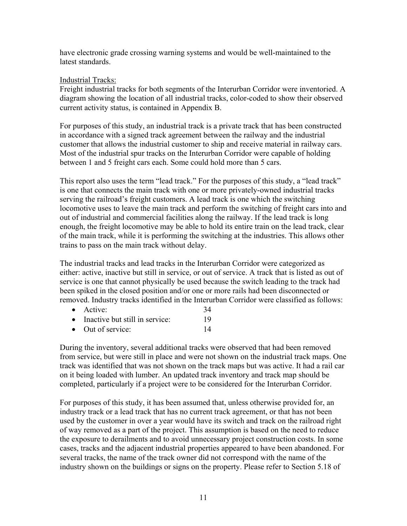have electronic grade crossing warning systems and would be well-maintained to the latest standards.

#### Industrial Tracks:

Freight industrial tracks for both segments of the Interurban Corridor were inventoried. A diagram showing the location of all industrial tracks, color-coded to show their observed current activity status, is contained in Appendix B.

For purposes of this study, an industrial track is a private track that has been constructed in accordance with a signed track agreement between the railway and the industrial customer that allows the industrial customer to ship and receive material in railway cars. Most of the industrial spur tracks on the Interurban Corridor were capable of holding between 1 and 5 freight cars each. Some could hold more than 5 cars.

This report also uses the term "lead track." For the purposes of this study, a "lead track" is one that connects the main track with one or more privately-owned industrial tracks serving the railroad's freight customers. A lead track is one which the switching locomotive uses to leave the main track and perform the switching of freight cars into and out of industrial and commercial facilities along the railway. If the lead track is long enough, the freight locomotive may be able to hold its entire train on the lead track, clear of the main track, while it is performing the switching at the industries. This allows other trains to pass on the main track without delay.

The industrial tracks and lead tracks in the Interurban Corridor were categorized as either: active, inactive but still in service, or out of service. A track that is listed as out of service is one that cannot physically be used because the switch leading to the track had been spiked in the closed position and/or one or more rails had been disconnected or removed. Industry tracks identified in the Interurban Corridor were classified as follows:

- Active: 34
- Inactive but still in service: 19
- Out of service: 14

During the inventory, several additional tracks were observed that had been removed from service, but were still in place and were not shown on the industrial track maps. One track was identified that was not shown on the track maps but was active. It had a rail car on it being loaded with lumber. An updated track inventory and track map should be completed, particularly if a project were to be considered for the Interurban Corridor.

For purposes of this study, it has been assumed that, unless otherwise provided for, an industry track or a lead track that has no current track agreement, or that has not been used by the customer in over a year would have its switch and track on the railroad right of way removed as a part of the project. This assumption is based on the need to reduce the exposure to derailments and to avoid unnecessary project construction costs. In some cases, tracks and the adjacent industrial properties appeared to have been abandoned. For several tracks, the name of the track owner did not correspond with the name of the industry shown on the buildings or signs on the property. Please refer to Section 5.18 of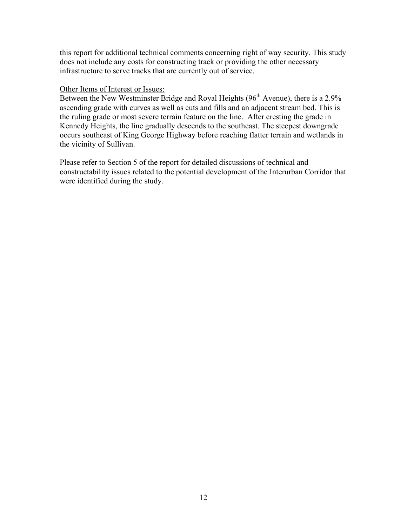this report for additional technical comments concerning right of way security. This study does not include any costs for constructing track or providing the other necessary infrastructure to serve tracks that are currently out of service.

#### Other Items of Interest or Issues:

Between the New Westminster Bridge and Royal Heights (96<sup>th</sup> Avenue), there is a 2.9% ascending grade with curves as well as cuts and fills and an adjacent stream bed. This is the ruling grade or most severe terrain feature on the line. After cresting the grade in Kennedy Heights, the line gradually descends to the southeast. The steepest downgrade occurs southeast of King George Highway before reaching flatter terrain and wetlands in the vicinity of Sullivan.

Please refer to Section 5 of the report for detailed discussions of technical and constructability issues related to the potential development of the Interurban Corridor that were identified during the study.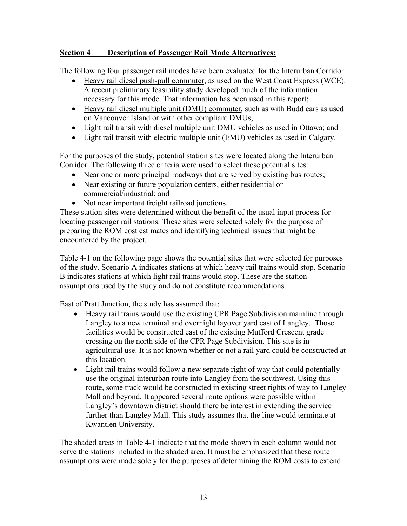## **Section 4 Description of Passenger Rail Mode Alternatives:**

The following four passenger rail modes have been evaluated for the Interurban Corridor:

- Heavy rail diesel push-pull commuter, as used on the West Coast Express (WCE). A recent preliminary feasibility study developed much of the information necessary for this mode. That information has been used in this report;
- Heavy rail diesel multiple unit (DMU) commuter, such as with Budd cars as used on Vancouver Island or with other compliant DMUs;
- Light rail transit with diesel multiple unit DMU vehicles as used in Ottawa; and
- Light rail transit with electric multiple unit (EMU) vehicles as used in Calgary.

For the purposes of the study, potential station sites were located along the Interurban Corridor. The following three criteria were used to select these potential sites:

- Near one or more principal roadways that are served by existing bus routes;
- Near existing or future population centers, either residential or commercial/industrial; and
- Not near important freight railroad junctions.

These station sites were determined without the benefit of the usual input process for locating passenger rail stations. These sites were selected solely for the purpose of preparing the ROM cost estimates and identifying technical issues that might be encountered by the project.

Table 4-1 on the following page shows the potential sites that were selected for purposes of the study. Scenario A indicates stations at which heavy rail trains would stop. Scenario B indicates stations at which light rail trains would stop. These are the station assumptions used by the study and do not constitute recommendations.

East of Pratt Junction, the study has assumed that:

- Heavy rail trains would use the existing CPR Page Subdivision mainline through Langley to a new terminal and overnight layover yard east of Langley. Those facilities would be constructed east of the existing Mufford Crescent grade crossing on the north side of the CPR Page Subdivision. This site is in agricultural use. It is not known whether or not a rail yard could be constructed at this location.
- Light rail trains would follow a new separate right of way that could potentially use the original interurban route into Langley from the southwest. Using this route, some track would be constructed in existing street rights of way to Langley Mall and beyond. It appeared several route options were possible within Langley's downtown district should there be interest in extending the service further than Langley Mall. This study assumes that the line would terminate at Kwantlen University.

The shaded areas in Table 4-1 indicate that the mode shown in each column would not serve the stations included in the shaded area. It must be emphasized that these route assumptions were made solely for the purposes of determining the ROM costs to extend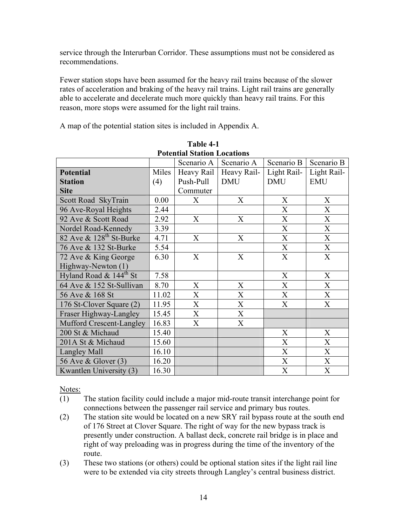service through the Interurban Corridor. These assumptions must not be considered as recommendations.

Fewer station stops have been assumed for the heavy rail trains because of the slower rates of acceleration and braking of the heavy rail trains. Light rail trains are generally able to accelerate and decelerate much more quickly than heavy rail trains. For this reason, more stops were assumed for the light rail trains.

A map of the potential station sites is included in Appendix A.

| T OLEIILIAI STATIOII LOCATIOIIS        |       |                           |             |                           |             |
|----------------------------------------|-------|---------------------------|-------------|---------------------------|-------------|
|                                        |       | Scenario A                | Scenario A  | Scenario B                | Scenario B  |
| <b>Potential</b>                       | Miles | Heavy Rail                | Heavy Rail- | Light Rail-               | Light Rail- |
| <b>Station</b>                         | (4)   | Push-Pull                 | <b>DMU</b>  | <b>DMU</b>                | <b>EMU</b>  |
| <b>Site</b>                            |       | Commuter                  |             |                           |             |
| Scott Road SkyTrain                    | 0.00  | X                         | X           | X                         | X           |
| 96 Ave-Royal Heights                   | 2.44  |                           |             | $\boldsymbol{\mathrm{X}}$ | X           |
| 92 Ave & Scott Road                    | 2.92  | X                         | X           | X                         | X           |
| Nordel Road-Kennedy                    | 3.39  |                           |             | X                         | X           |
| 82 Ave $\&$ 128 <sup>th</sup> St-Burke | 4.71  | X                         | X           | X                         | X           |
| 76 Ave & 132 St-Burke                  | 5.54  |                           |             | X                         | X           |
| 72 Ave & King George                   | 6.30  | X                         | X           | X                         | X           |
| Highway-Newton (1)                     |       |                           |             |                           |             |
| Hyland Road & 144 <sup>th</sup> St     | 7.58  |                           |             | X                         | X           |
| 64 Ave & 152 St-Sullivan               | 8.70  | X                         | X           | X                         | X           |
| 56 Ave & 168 St                        | 11.02 | $\boldsymbol{\mathrm{X}}$ | X           | X                         | X           |
| 176 St-Clover Square (2)               | 11.95 | $\boldsymbol{\mathrm{X}}$ | X           | $\boldsymbol{\mathrm{X}}$ | X           |
| Fraser Highway-Langley                 | 15.45 | X                         | X           |                           |             |
| Mufford Crescent-Langley               | 16.83 | X                         | X           |                           |             |
| 200 St & Michaud                       | 15.40 |                           |             | X                         | X           |
| 201A St & Michaud                      | 15.60 |                           |             | X                         | X           |
| Langley Mall                           | 16.10 |                           |             | $\boldsymbol{\mathrm{X}}$ | X           |
| 56 Ave & Glover (3)                    | 16.20 |                           |             | X                         | X           |
| Kwantlen University (3)                | 16.30 |                           |             | X                         | X           |

| Table 4-1                          |
|------------------------------------|
| <b>Potential Station Locations</b> |

Notes:

- (1) The station facility could include a major mid-route transit interchange point for connections between the passenger rail service and primary bus routes.
- (2) The station site would be located on a new SRY rail bypass route at the south end of 176 Street at Clover Square. The right of way for the new bypass track is presently under construction. A ballast deck, concrete rail bridge is in place and right of way preloading was in progress during the time of the inventory of the route.
- (3) These two stations (or others) could be optional station sites if the light rail line were to be extended via city streets through Langley's central business district.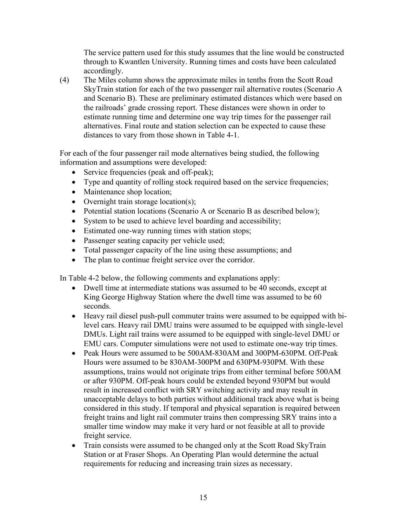The service pattern used for this study assumes that the line would be constructed through to Kwantlen University. Running times and costs have been calculated accordingly.

(4) The Miles column shows the approximate miles in tenths from the Scott Road SkyTrain station for each of the two passenger rail alternative routes (Scenario A and Scenario B). These are preliminary estimated distances which were based on the railroads' grade crossing report. These distances were shown in order to estimate running time and determine one way trip times for the passenger rail alternatives. Final route and station selection can be expected to cause these distances to vary from those shown in Table 4-1.

For each of the four passenger rail mode alternatives being studied, the following information and assumptions were developed:

- Service frequencies (peak and off-peak);
- Type and quantity of rolling stock required based on the service frequencies;
- Maintenance shop location;
- Overnight train storage location(s);
- Potential station locations (Scenario A or Scenario B as described below);
- System to be used to achieve level boarding and accessibility;
- Estimated one-way running times with station stops;
- Passenger seating capacity per vehicle used;
- Total passenger capacity of the line using these assumptions; and
- The plan to continue freight service over the corridor.

In Table 4-2 below, the following comments and explanations apply:

- Dwell time at intermediate stations was assumed to be 40 seconds, except at King George Highway Station where the dwell time was assumed to be 60 seconds.
- Heavy rail diesel push-pull commuter trains were assumed to be equipped with bilevel cars. Heavy rail DMU trains were assumed to be equipped with single-level DMUs. Light rail trains were assumed to be equipped with single-level DMU or EMU cars. Computer simulations were not used to estimate one-way trip times.
- Peak Hours were assumed to be 500AM-830AM and 300PM-630PM. Off-Peak Hours were assumed to be 830AM-300PM and 630PM-930PM. With these assumptions, trains would not originate trips from either terminal before 500AM or after 930PM. Off-peak hours could be extended beyond 930PM but would result in increased conflict with SRY switching activity and may result in unacceptable delays to both parties without additional track above what is being considered in this study. If temporal and physical separation is required between freight trains and light rail commuter trains then compressing SRY trains into a smaller time window may make it very hard or not feasible at all to provide freight service.
- Train consists were assumed to be changed only at the Scott Road SkyTrain Station or at Fraser Shops. An Operating Plan would determine the actual requirements for reducing and increasing train sizes as necessary.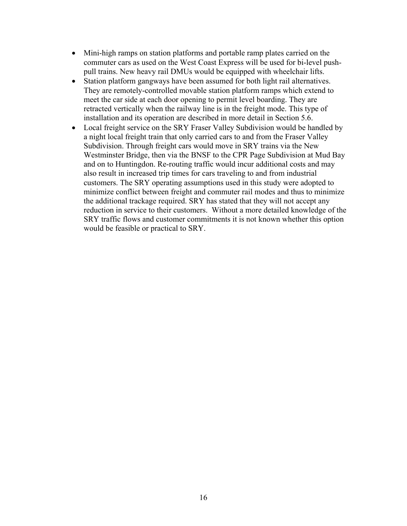- Mini-high ramps on station platforms and portable ramp plates carried on the commuter cars as used on the West Coast Express will be used for bi-level pushpull trains. New heavy rail DMUs would be equipped with wheelchair lifts.
- Station platform gangways have been assumed for both light rail alternatives. They are remotely-controlled movable station platform ramps which extend to meet the car side at each door opening to permit level boarding. They are retracted vertically when the railway line is in the freight mode. This type of installation and its operation are described in more detail in Section 5.6.
- Local freight service on the SRY Fraser Valley Subdivision would be handled by a night local freight train that only carried cars to and from the Fraser Valley Subdivision. Through freight cars would move in SRY trains via the New Westminster Bridge, then via the BNSF to the CPR Page Subdivision at Mud Bay and on to Huntingdon. Re-routing traffic would incur additional costs and may also result in increased trip times for cars traveling to and from industrial customers. The SRY operating assumptions used in this study were adopted to minimize conflict between freight and commuter rail modes and thus to minimize the additional trackage required. SRY has stated that they will not accept any reduction in service to their customers. Without a more detailed knowledge of the SRY traffic flows and customer commitments it is not known whether this option would be feasible or practical to SRY.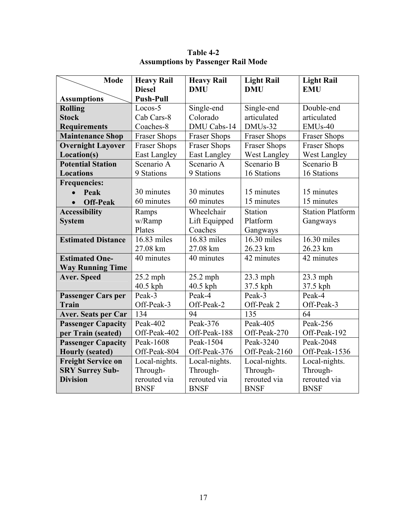| <b>Mode</b>                    | <b>Heavy Rail</b>                 | <b>Heavy Rail</b>       | <b>Light Rail</b>    | <b>Light Rail</b>       |
|--------------------------------|-----------------------------------|-------------------------|----------------------|-------------------------|
|                                | <b>Diesel</b><br><b>Push-Pull</b> | <b>DMU</b>              | <b>DMU</b>           | <b>EMU</b>              |
| <b>Assumptions</b>             | Locos-5                           |                         |                      | Double-end              |
| <b>Rolling</b><br><b>Stock</b> |                                   | Single-end              | Single-end           |                         |
|                                | Cab Cars-8                        | Colorado<br>DMU Cabs-14 | articulated          | articulated             |
| <b>Requirements</b>            | Coaches-8                         |                         | DMU <sub>s</sub> -32 | $EMUs-40$               |
| <b>Maintenance Shop</b>        | <b>Fraser Shops</b>               | Fraser Shops            | <b>Fraser Shops</b>  | <b>Fraser Shops</b>     |
| <b>Overnight Layover</b>       | <b>Fraser Shops</b>               | Fraser Shops            | <b>Fraser Shops</b>  | <b>Fraser Shops</b>     |
| Location(s)                    | East Langley                      | <b>East Langley</b>     | West Langley         | West Langley            |
| <b>Potential Station</b>       | Scenario A                        | Scenario A              | Scenario B           | Scenario B              |
| <b>Locations</b>               | 9 Stations                        | 9 Stations              | 16 Stations          | 16 Stations             |
| <b>Frequencies:</b>            |                                   |                         |                      |                         |
| Peak<br>$\bullet$              | 30 minutes                        | 30 minutes              | 15 minutes           | 15 minutes              |
| <b>Off-Peak</b><br>$\bullet$   | 60 minutes                        | 60 minutes              | 15 minutes           | 15 minutes              |
| <b>Accessibility</b>           | Ramps                             | Wheelchair              | Station              | <b>Station Platform</b> |
| <b>System</b>                  | w/Ramp                            | Lift Equipped           | Platform             | Gangways                |
|                                | Plates                            | Coaches                 | Gangways             |                         |
| <b>Estimated Distance</b>      | 16.83 miles                       | 16.83 miles             | 16.30 miles          | 16.30 miles             |
|                                | 27.08 km                          | 27.08 km                | 26.23 km             | 26.23 km                |
| <b>Estimated One-</b>          | 40 minutes                        | 40 minutes              | 42 minutes           | 42 minutes              |
| <b>Way Running Time</b>        |                                   |                         |                      |                         |
| <b>Aver. Speed</b>             | 25.2 mph                          | $25.2$ mph              | 23.3 mph             | 23.3 mph                |
|                                | 40.5 kph                          | 40.5 kph                | 37.5 kph             | 37.5 kph                |
| <b>Passenger Cars per</b>      | Peak-3                            | Peak-4                  | Peak-3               | Peak-4                  |
| <b>Train</b>                   | Off-Peak-3                        | Off-Peak-2              | Off-Peak 2           | Off-Peak-3              |
| <b>Aver. Seats per Car</b>     | 134                               | 94                      | 135                  | 64                      |
| <b>Passenger Capacity</b>      | Peak-402                          | Peak-376                | Peak-405             | Peak-256                |
| per Train (seated)             | Off-Peak-402                      | Off-Peak-188            | Off-Peak-270         | Off-Peak-192            |
| <b>Passenger Capacity</b>      | Peak-1608                         | Peak-1504               | Peak-3240            | Peak-2048               |
| <b>Hourly</b> (seated)         | Off-Peak-804                      | Off-Peak-376            | Off-Peak-2160        | Off-Peak-1536           |
| <b>Freight Service on</b>      | Local-nights.                     | Local-nights.           | Local-nights.        | Local-nights.           |
| <b>SRY Surrey Sub-</b>         | Through-                          | Through-                | Through-             | Through-                |
| <b>Division</b>                | rerouted via                      | rerouted via            | rerouted via         | rerouted via            |
|                                | <b>BNSF</b>                       | <b>BNSF</b>             | <b>BNSF</b>          | <b>BNSF</b>             |

**Table 4-2 Assumptions by Passenger Rail Mode**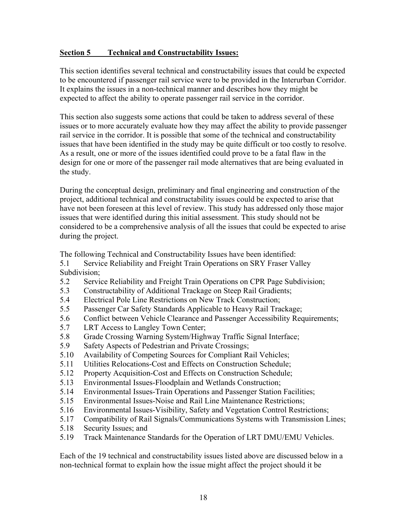#### **Section 5 Technical and Constructability Issues:**

This section identifies several technical and constructability issues that could be expected to be encountered if passenger rail service were to be provided in the Interurban Corridor. It explains the issues in a non-technical manner and describes how they might be expected to affect the ability to operate passenger rail service in the corridor.

This section also suggests some actions that could be taken to address several of these issues or to more accurately evaluate how they may affect the ability to provide passenger rail service in the corridor. It is possible that some of the technical and constructability issues that have been identified in the study may be quite difficult or too costly to resolve. As a result, one or more of the issues identified could prove to be a fatal flaw in the design for one or more of the passenger rail mode alternatives that are being evaluated in the study.

During the conceptual design, preliminary and final engineering and construction of the project, additional technical and constructability issues could be expected to arise that have not been foreseen at this level of review. This study has addressed only those major issues that were identified during this initial assessment. This study should not be considered to be a comprehensive analysis of all the issues that could be expected to arise during the project.

The following Technical and Constructability Issues have been identified:

- 5.1 Service Reliability and Freight Train Operations on SRY Fraser Valley Subdivision;
- 5.2 Service Reliability and Freight Train Operations on CPR Page Subdivision;
- 5.3 Constructability of Additional Trackage on Steep Rail Gradients;
- 5.4 Electrical Pole Line Restrictions on New Track Construction;
- 5.5 Passenger Car Safety Standards Applicable to Heavy Rail Trackage;
- 5.6 Conflict between Vehicle Clearance and Passenger Accessibility Requirements;
- 5.7 LRT Access to Langley Town Center;
- 5.8 Grade Crossing Warning System/Highway Traffic Signal Interface;
- 5.9 Safety Aspects of Pedestrian and Private Crossings;
- 5.10 Availability of Competing Sources for Compliant Rail Vehicles;
- 5.11 Utilities Relocations-Cost and Effects on Construction Schedule;
- 5.12 Property Acquisition-Cost and Effects on Construction Schedule;
- 5.13 Environmental Issues-Floodplain and Wetlands Construction;
- 5.14 Environmental Issues-Train Operations and Passenger Station Facilities;
- 5.15 Environmental Issues-Noise and Rail Line Maintenance Restrictions;
- 5.16 Environmental Issues-Visibility, Safety and Vegetation Control Restrictions;
- 5.17 Compatibility of Rail Signals/Communications Systems with Transmission Lines;
- 5.18 Security Issues; and
- 5.19 Track Maintenance Standards for the Operation of LRT DMU/EMU Vehicles.

Each of the 19 technical and constructability issues listed above are discussed below in a non-technical format to explain how the issue might affect the project should it be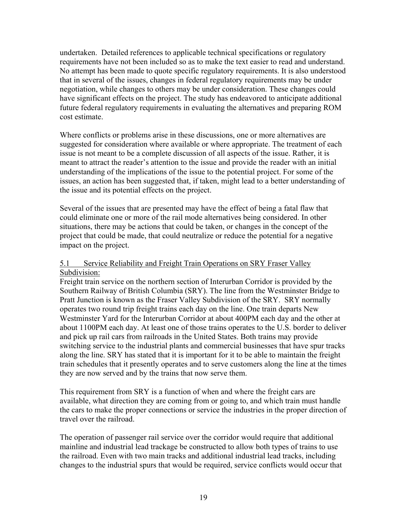undertaken. Detailed references to applicable technical specifications or regulatory requirements have not been included so as to make the text easier to read and understand. No attempt has been made to quote specific regulatory requirements. It is also understood that in several of the issues, changes in federal regulatory requirements may be under negotiation, while changes to others may be under consideration. These changes could have significant effects on the project. The study has endeavored to anticipate additional future federal regulatory requirements in evaluating the alternatives and preparing ROM cost estimate.

Where conflicts or problems arise in these discussions, one or more alternatives are suggested for consideration where available or where appropriate. The treatment of each issue is not meant to be a complete discussion of all aspects of the issue. Rather, it is meant to attract the reader's attention to the issue and provide the reader with an initial understanding of the implications of the issue to the potential project. For some of the issues, an action has been suggested that, if taken, might lead to a better understanding of the issue and its potential effects on the project.

Several of the issues that are presented may have the effect of being a fatal flaw that could eliminate one or more of the rail mode alternatives being considered. In other situations, there may be actions that could be taken, or changes in the concept of the project that could be made, that could neutralize or reduce the potential for a negative impact on the project.

#### 5.1 Service Reliability and Freight Train Operations on SRY Fraser Valley Subdivision:

Freight train service on the northern section of Interurban Corridor is provided by the Southern Railway of British Columbia (SRY). The line from the Westminster Bridge to Pratt Junction is known as the Fraser Valley Subdivision of the SRY. SRY normally operates two round trip freight trains each day on the line. One train departs New Westminster Yard for the Interurban Corridor at about 400PM each day and the other at about 1100PM each day. At least one of those trains operates to the U.S. border to deliver and pick up rail cars from railroads in the United States. Both trains may provide switching service to the industrial plants and commercial businesses that have spur tracks along the line. SRY has stated that it is important for it to be able to maintain the freight train schedules that it presently operates and to serve customers along the line at the times they are now served and by the trains that now serve them.

This requirement from SRY is a function of when and where the freight cars are available, what direction they are coming from or going to, and which train must handle the cars to make the proper connections or service the industries in the proper direction of travel over the railroad.

The operation of passenger rail service over the corridor would require that additional mainline and industrial lead trackage be constructed to allow both types of trains to use the railroad. Even with two main tracks and additional industrial lead tracks, including changes to the industrial spurs that would be required, service conflicts would occur that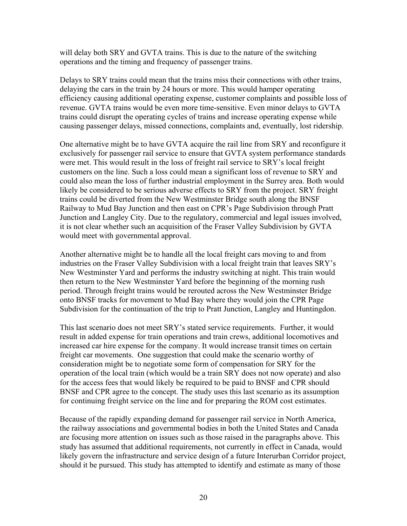will delay both SRY and GVTA trains. This is due to the nature of the switching operations and the timing and frequency of passenger trains.

Delays to SRY trains could mean that the trains miss their connections with other trains, delaying the cars in the train by 24 hours or more. This would hamper operating efficiency causing additional operating expense, customer complaints and possible loss of revenue. GVTA trains would be even more time-sensitive. Even minor delays to GVTA trains could disrupt the operating cycles of trains and increase operating expense while causing passenger delays, missed connections, complaints and, eventually, lost ridership.

One alternative might be to have GVTA acquire the rail line from SRY and reconfigure it exclusively for passenger rail service to ensure that GVTA system performance standards were met. This would result in the loss of freight rail service to SRY's local freight customers on the line. Such a loss could mean a significant loss of revenue to SRY and could also mean the loss of further industrial employment in the Surrey area. Both would likely be considered to be serious adverse effects to SRY from the project. SRY freight trains could be diverted from the New Westminster Bridge south along the BNSF Railway to Mud Bay Junction and then east on CPR's Page Subdivision through Pratt Junction and Langley City. Due to the regulatory, commercial and legal issues involved, it is not clear whether such an acquisition of the Fraser Valley Subdivision by GVTA would meet with governmental approval.

Another alternative might be to handle all the local freight cars moving to and from industries on the Fraser Valley Subdivision with a local freight train that leaves SRY's New Westminster Yard and performs the industry switching at night. This train would then return to the New Westminster Yard before the beginning of the morning rush period. Through freight trains would be rerouted across the New Westminster Bridge onto BNSF tracks for movement to Mud Bay where they would join the CPR Page Subdivision for the continuation of the trip to Pratt Junction, Langley and Huntingdon.

This last scenario does not meet SRY's stated service requirements. Further, it would result in added expense for train operations and train crews, additional locomotives and increased car hire expense for the company. It would increase transit times on certain freight car movements. One suggestion that could make the scenario worthy of consideration might be to negotiate some form of compensation for SRY for the operation of the local train (which would be a train SRY does not now operate) and also for the access fees that would likely be required to be paid to BNSF and CPR should BNSF and CPR agree to the concept. The study uses this last scenario as its assumption for continuing freight service on the line and for preparing the ROM cost estimates.

Because of the rapidly expanding demand for passenger rail service in North America, the railway associations and governmental bodies in both the United States and Canada are focusing more attention on issues such as those raised in the paragraphs above. This study has assumed that additional requirements, not currently in effect in Canada, would likely govern the infrastructure and service design of a future Interurban Corridor project, should it be pursued. This study has attempted to identify and estimate as many of those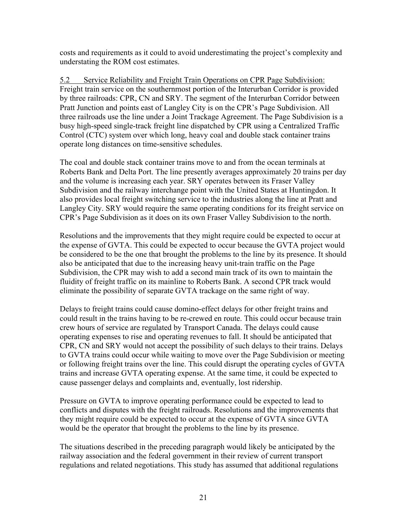costs and requirements as it could to avoid underestimating the project's complexity and understating the ROM cost estimates.

5.2 Service Reliability and Freight Train Operations on CPR Page Subdivision: Freight train service on the southernmost portion of the Interurban Corridor is provided by three railroads: CPR, CN and SRY. The segment of the Interurban Corridor between Pratt Junction and points east of Langley City is on the CPR's Page Subdivision. All three railroads use the line under a Joint Trackage Agreement. The Page Subdivision is a busy high-speed single-track freight line dispatched by CPR using a Centralized Traffic Control (CTC) system over which long, heavy coal and double stack container trains operate long distances on time-sensitive schedules.

The coal and double stack container trains move to and from the ocean terminals at Roberts Bank and Delta Port. The line presently averages approximately 20 trains per day and the volume is increasing each year. SRY operates between its Fraser Valley Subdivision and the railway interchange point with the United States at Huntingdon. It also provides local freight switching service to the industries along the line at Pratt and Langley City. SRY would require the same operating conditions for its freight service on CPR's Page Subdivision as it does on its own Fraser Valley Subdivision to the north.

Resolutions and the improvements that they might require could be expected to occur at the expense of GVTA. This could be expected to occur because the GVTA project would be considered to be the one that brought the problems to the line by its presence. It should also be anticipated that due to the increasing heavy unit-train traffic on the Page Subdivision, the CPR may wish to add a second main track of its own to maintain the fluidity of freight traffic on its mainline to Roberts Bank. A second CPR track would eliminate the possibility of separate GVTA trackage on the same right of way.

Delays to freight trains could cause domino-effect delays for other freight trains and could result in the trains having to be re-crewed en route. This could occur because train crew hours of service are regulated by Transport Canada. The delays could cause operating expenses to rise and operating revenues to fall. It should be anticipated that CPR, CN and SRY would not accept the possibility of such delays to their trains. Delays to GVTA trains could occur while waiting to move over the Page Subdivision or meeting or following freight trains over the line. This could disrupt the operating cycles of GVTA trains and increase GVTA operating expense. At the same time, it could be expected to cause passenger delays and complaints and, eventually, lost ridership.

Pressure on GVTA to improve operating performance could be expected to lead to conflicts and disputes with the freight railroads. Resolutions and the improvements that they might require could be expected to occur at the expense of GVTA since GVTA would be the operator that brought the problems to the line by its presence.

The situations described in the preceding paragraph would likely be anticipated by the railway association and the federal government in their review of current transport regulations and related negotiations. This study has assumed that additional regulations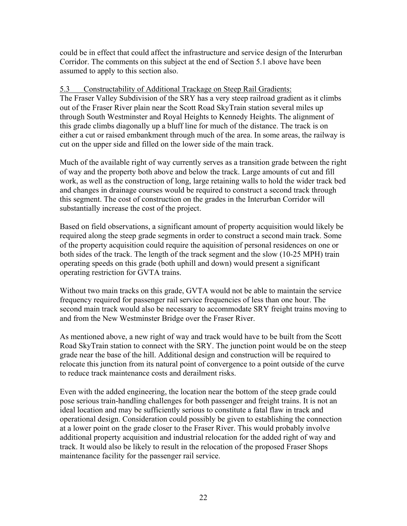could be in effect that could affect the infrastructure and service design of the Interurban Corridor. The comments on this subject at the end of Section 5.1 above have been assumed to apply to this section also.

#### 5.3 Constructability of Additional Trackage on Steep Rail Gradients:

The Fraser Valley Subdivision of the SRY has a very steep railroad gradient as it climbs out of the Fraser River plain near the Scott Road SkyTrain station several miles up through South Westminster and Royal Heights to Kennedy Heights. The alignment of this grade climbs diagonally up a bluff line for much of the distance. The track is on either a cut or raised embankment through much of the area. In some areas, the railway is cut on the upper side and filled on the lower side of the main track.

Much of the available right of way currently serves as a transition grade between the right of way and the property both above and below the track. Large amounts of cut and fill work, as well as the construction of long, large retaining walls to hold the wider track bed and changes in drainage courses would be required to construct a second track through this segment. The cost of construction on the grades in the Interurban Corridor will substantially increase the cost of the project.

Based on field observations, a significant amount of property acquisition would likely be required along the steep grade segments in order to construct a second main track. Some of the property acquisition could require the aquisition of personal residences on one or both sides of the track. The length of the track segment and the slow (10-25 MPH) train operating speeds on this grade (both uphill and down) would present a significant operating restriction for GVTA trains.

Without two main tracks on this grade, GVTA would not be able to maintain the service frequency required for passenger rail service frequencies of less than one hour. The second main track would also be necessary to accommodate SRY freight trains moving to and from the New Westminster Bridge over the Fraser River.

As mentioned above, a new right of way and track would have to be built from the Scott Road SkyTrain station to connect with the SRY. The junction point would be on the steep grade near the base of the hill. Additional design and construction will be required to relocate this junction from its natural point of convergence to a point outside of the curve to reduce track maintenance costs and derailment risks.

Even with the added engineering, the location near the bottom of the steep grade could pose serious train-handling challenges for both passenger and freight trains. It is not an ideal location and may be sufficiently serious to constitute a fatal flaw in track and operational design. Consideration could possibly be given to establishing the connection at a lower point on the grade closer to the Fraser River. This would probably involve additional property acquisition and industrial relocation for the added right of way and track. It would also be likely to result in the relocation of the proposed Fraser Shops maintenance facility for the passenger rail service.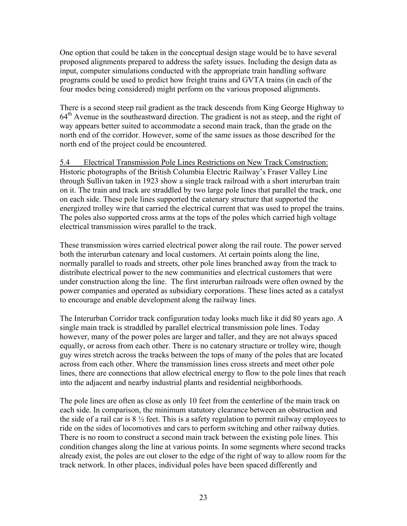One option that could be taken in the conceptual design stage would be to have several proposed alignments prepared to address the safety issues. Including the design data as input, computer simulations conducted with the appropriate train handling software programs could be used to predict how freight trains and GVTA trains (in each of the four modes being considered) might perform on the various proposed alignments.

There is a second steep rail gradient as the track descends from King George Highway to  $64<sup>th</sup>$  Avenue in the southeastward direction. The gradient is not as steep, and the right of way appears better suited to accommodate a second main track, than the grade on the north end of the corridor. However, some of the same issues as those described for the north end of the project could be encountered.

5.4 Electrical Transmission Pole Lines Restrictions on New Track Construction: Historic photographs of the British Columbia Electric Railway's Fraser Valley Line through Sullivan taken in 1923 show a single track railroad with a short interurban train on it. The train and track are straddled by two large pole lines that parallel the track, one on each side. These pole lines supported the catenary structure that supported the energized trolley wire that carried the electrical current that was used to propel the trains. The poles also supported cross arms at the tops of the poles which carried high voltage electrical transmission wires parallel to the track.

These transmission wires carried electrical power along the rail route. The power served both the interurban catenary and local customers. At certain points along the line, normally parallel to roads and streets, other pole lines branched away from the track to distribute electrical power to the new communities and electrical customers that were under construction along the line. The first interurban railroads were often owned by the power companies and operated as subsidiary corporations. These lines acted as a catalyst to encourage and enable development along the railway lines.

The Interurban Corridor track configuration today looks much like it did 80 years ago. A single main track is straddled by parallel electrical transmission pole lines. Today however, many of the power poles are larger and taller, and they are not always spaced equally, or across from each other. There is no catenary structure or trolley wire, though guy wires stretch across the tracks between the tops of many of the poles that are located across from each other. Where the transmission lines cross streets and meet other pole lines, there are connections that allow electrical energy to flow to the pole lines that reach into the adjacent and nearby industrial plants and residential neighborhoods.

The pole lines are often as close as only 10 feet from the centerline of the main track on each side. In comparison, the minimum statutory clearance between an obstruction and the side of a rail car is  $8\frac{1}{2}$  feet. This is a safety regulation to permit railway employees to ride on the sides of locomotives and cars to perform switching and other railway duties. There is no room to construct a second main track between the existing pole lines. This condition changes along the line at various points. In some segments where second tracks already exist, the poles are out closer to the edge of the right of way to allow room for the track network. In other places, individual poles have been spaced differently and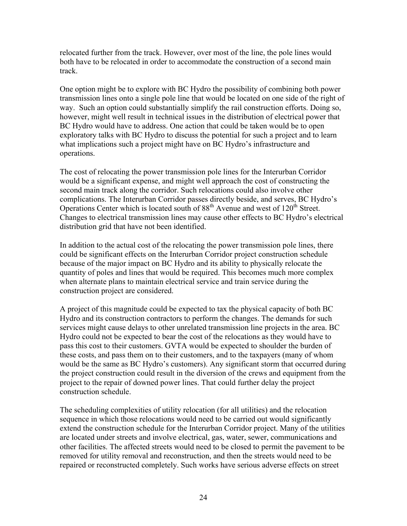relocated further from the track. However, over most of the line, the pole lines would both have to be relocated in order to accommodate the construction of a second main track.

One option might be to explore with BC Hydro the possibility of combining both power transmission lines onto a single pole line that would be located on one side of the right of way. Such an option could substantially simplify the rail construction efforts. Doing so, however, might well result in technical issues in the distribution of electrical power that BC Hydro would have to address. One action that could be taken would be to open exploratory talks with BC Hydro to discuss the potential for such a project and to learn what implications such a project might have on BC Hydro's infrastructure and operations.

The cost of relocating the power transmission pole lines for the Interurban Corridor would be a significant expense, and might well approach the cost of constructing the second main track along the corridor. Such relocations could also involve other complications. The Interurban Corridor passes directly beside, and serves, BC Hydro's Operations Center which is located south of  $88<sup>th</sup>$  Avenue and west of  $120<sup>th</sup>$  Street. Changes to electrical transmission lines may cause other effects to BC Hydro's electrical distribution grid that have not been identified.

In addition to the actual cost of the relocating the power transmission pole lines, there could be significant effects on the Interurban Corridor project construction schedule because of the major impact on BC Hydro and its ability to physically relocate the quantity of poles and lines that would be required. This becomes much more complex when alternate plans to maintain electrical service and train service during the construction project are considered.

A project of this magnitude could be expected to tax the physical capacity of both BC Hydro and its construction contractors to perform the changes. The demands for such services might cause delays to other unrelated transmission line projects in the area. BC Hydro could not be expected to bear the cost of the relocations as they would have to pass this cost to their customers. GVTA would be expected to shoulder the burden of these costs, and pass them on to their customers, and to the taxpayers (many of whom would be the same as BC Hydro's customers). Any significant storm that occurred during the project construction could result in the diversion of the crews and equipment from the project to the repair of downed power lines. That could further delay the project construction schedule.

The scheduling complexities of utility relocation (for all utilities) and the relocation sequence in which those relocations would need to be carried out would significantly extend the construction schedule for the Interurban Corridor project. Many of the utilities are located under streets and involve electrical, gas, water, sewer, communications and other facilities. The affected streets would need to be closed to permit the pavement to be removed for utility removal and reconstruction, and then the streets would need to be repaired or reconstructed completely. Such works have serious adverse effects on street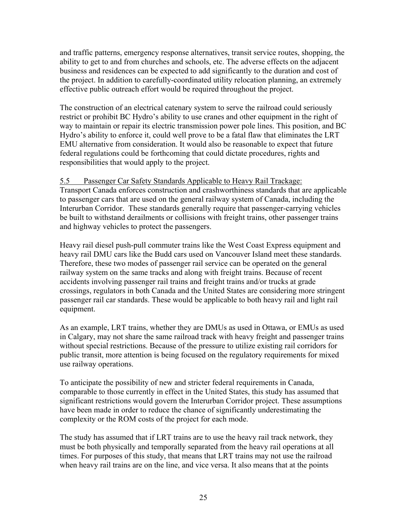and traffic patterns, emergency response alternatives, transit service routes, shopping, the ability to get to and from churches and schools, etc. The adverse effects on the adjacent business and residences can be expected to add significantly to the duration and cost of the project. In addition to carefully-coordinated utility relocation planning, an extremely effective public outreach effort would be required throughout the project.

The construction of an electrical catenary system to serve the railroad could seriously restrict or prohibit BC Hydro's ability to use cranes and other equipment in the right of way to maintain or repair its electric transmission power pole lines. This position, and BC Hydro's ability to enforce it, could well prove to be a fatal flaw that eliminates the LRT EMU alternative from consideration. It would also be reasonable to expect that future federal regulations could be forthcoming that could dictate procedures, rights and responsibilities that would apply to the project.

#### 5.5 Passenger Car Safety Standards Applicable to Heavy Rail Trackage:

Transport Canada enforces construction and crashworthiness standards that are applicable to passenger cars that are used on the general railway system of Canada, including the Interurban Corridor. These standards generally require that passenger-carrying vehicles be built to withstand derailments or collisions with freight trains, other passenger trains and highway vehicles to protect the passengers.

Heavy rail diesel push-pull commuter trains like the West Coast Express equipment and heavy rail DMU cars like the Budd cars used on Vancouver Island meet these standards. Therefore, these two modes of passenger rail service can be operated on the general railway system on the same tracks and along with freight trains. Because of recent accidents involving passenger rail trains and freight trains and/or trucks at grade crossings, regulators in both Canada and the United States are considering more stringent passenger rail car standards. These would be applicable to both heavy rail and light rail equipment.

As an example, LRT trains, whether they are DMUs as used in Ottawa, or EMUs as used in Calgary, may not share the same railroad track with heavy freight and passenger trains without special restrictions. Because of the pressure to utilize existing rail corridors for public transit, more attention is being focused on the regulatory requirements for mixed use railway operations.

To anticipate the possibility of new and stricter federal requirements in Canada, comparable to those currently in effect in the United States, this study has assumed that significant restrictions would govern the Interurban Corridor project. These assumptions have been made in order to reduce the chance of significantly underestimating the complexity or the ROM costs of the project for each mode.

The study has assumed that if LRT trains are to use the heavy rail track network, they must be both physically and temporally separated from the heavy rail operations at all times. For purposes of this study, that means that LRT trains may not use the railroad when heavy rail trains are on the line, and vice versa. It also means that at the points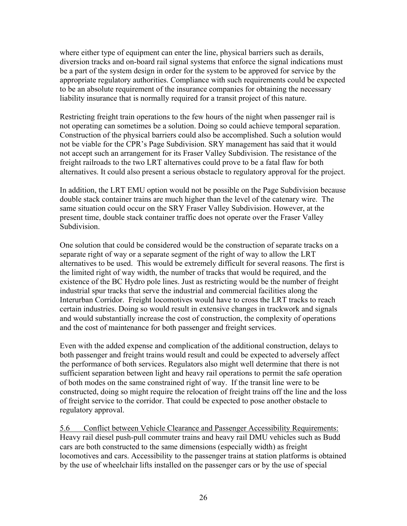where either type of equipment can enter the line, physical barriers such as derails, diversion tracks and on-board rail signal systems that enforce the signal indications must be a part of the system design in order for the system to be approved for service by the appropriate regulatory authorities. Compliance with such requirements could be expected to be an absolute requirement of the insurance companies for obtaining the necessary liability insurance that is normally required for a transit project of this nature.

Restricting freight train operations to the few hours of the night when passenger rail is not operating can sometimes be a solution. Doing so could achieve temporal separation. Construction of the physical barriers could also be accomplished. Such a solution would not be viable for the CPR's Page Subdivision. SRY management has said that it would not accept such an arrangement for its Fraser Valley Subdivision. The resistance of the freight railroads to the two LRT alternatives could prove to be a fatal flaw for both alternatives. It could also present a serious obstacle to regulatory approval for the project.

In addition, the LRT EMU option would not be possible on the Page Subdivision because double stack container trains are much higher than the level of the catenary wire. The same situation could occur on the SRY Fraser Valley Subdivision. However, at the present time, double stack container traffic does not operate over the Fraser Valley Subdivision.

One solution that could be considered would be the construction of separate tracks on a separate right of way or a separate segment of the right of way to allow the LRT alternatives to be used. This would be extremely difficult for several reasons. The first is the limited right of way width, the number of tracks that would be required, and the existence of the BC Hydro pole lines. Just as restricting would be the number of freight industrial spur tracks that serve the industrial and commercial facilities along the Interurban Corridor. Freight locomotives would have to cross the LRT tracks to reach certain industries. Doing so would result in extensive changes in trackwork and signals and would substantially increase the cost of construction, the complexity of operations and the cost of maintenance for both passenger and freight services.

Even with the added expense and complication of the additional construction, delays to both passenger and freight trains would result and could be expected to adversely affect the performance of both services. Regulators also might well determine that there is not sufficient separation between light and heavy rail operations to permit the safe operation of both modes on the same constrained right of way. If the transit line were to be constructed, doing so might require the relocation of freight trains off the line and the loss of freight service to the corridor. That could be expected to pose another obstacle to regulatory approval.

5.6 Conflict between Vehicle Clearance and Passenger Accessibility Requirements: Heavy rail diesel push-pull commuter trains and heavy rail DMU vehicles such as Budd cars are both constructed to the same dimensions (especially width) as freight locomotives and cars. Accessibility to the passenger trains at station platforms is obtained by the use of wheelchair lifts installed on the passenger cars or by the use of special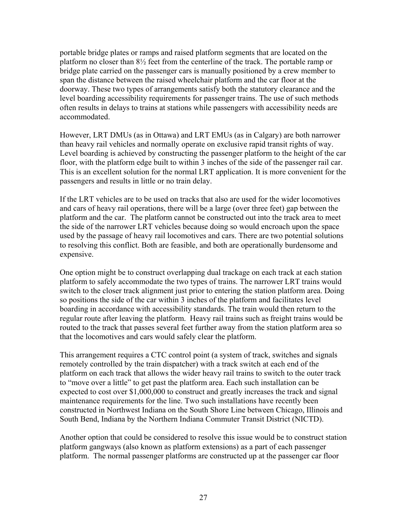portable bridge plates or ramps and raised platform segments that are located on the platform no closer than 8½ feet from the centerline of the track. The portable ramp or bridge plate carried on the passenger cars is manually positioned by a crew member to span the distance between the raised wheelchair platform and the car floor at the doorway. These two types of arrangements satisfy both the statutory clearance and the level boarding accessibility requirements for passenger trains. The use of such methods often results in delays to trains at stations while passengers with accessibility needs are accommodated.

However, LRT DMUs (as in Ottawa) and LRT EMUs (as in Calgary) are both narrower than heavy rail vehicles and normally operate on exclusive rapid transit rights of way. Level boarding is achieved by constructing the passenger platform to the height of the car floor, with the platform edge built to within 3 inches of the side of the passenger rail car. This is an excellent solution for the normal LRT application. It is more convenient for the passengers and results in little or no train delay.

If the LRT vehicles are to be used on tracks that also are used for the wider locomotives and cars of heavy rail operations, there will be a large (over three feet) gap between the platform and the car. The platform cannot be constructed out into the track area to meet the side of the narrower LRT vehicles because doing so would encroach upon the space used by the passage of heavy rail locomotives and cars. There are two potential solutions to resolving this conflict. Both are feasible, and both are operationally burdensome and expensive.

One option might be to construct overlapping dual trackage on each track at each station platform to safely accommodate the two types of trains. The narrower LRT trains would switch to the closer track alignment just prior to entering the station platform area. Doing so positions the side of the car within 3 inches of the platform and facilitates level boarding in accordance with accessibility standards. The train would then return to the regular route after leaving the platform. Heavy rail trains such as freight trains would be routed to the track that passes several feet further away from the station platform area so that the locomotives and cars would safely clear the platform.

This arrangement requires a CTC control point (a system of track, switches and signals remotely controlled by the train dispatcher) with a track switch at each end of the platform on each track that allows the wider heavy rail trains to switch to the outer track to "move over a little" to get past the platform area. Each such installation can be expected to cost over \$1,000,000 to construct and greatly increases the track and signal maintenance requirements for the line. Two such installations have recently been constructed in Northwest Indiana on the South Shore Line between Chicago, Illinois and South Bend, Indiana by the Northern Indiana Commuter Transit District (NICTD).

Another option that could be considered to resolve this issue would be to construct station platform gangways (also known as platform extensions) as a part of each passenger platform. The normal passenger platforms are constructed up at the passenger car floor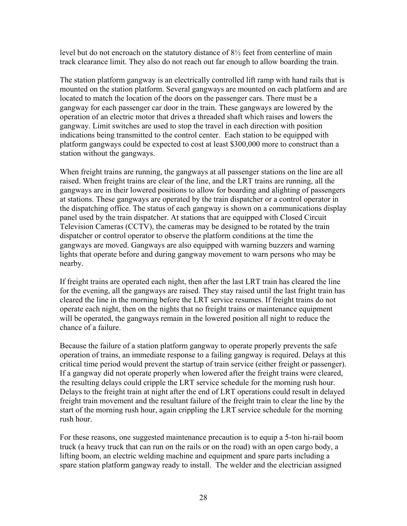level but do not encroach on the statutory distance of  $8\frac{1}{2}$  feet from centerline of main track clearance limit. They also do not reach out far enough to allow boarding the train.

The station platform gangway is an electrically controlled lift ramp with hand rails that is mounted on the station platform. Several gangways are mounted on each platform and are located to match the location of the doors on the passenger cars. There must be a gangway for each passenger car door in the train. These gangways are lowered by the operation of an electric motor that drives a threaded shaft which raises and lowers the gangway. Limit switches are used to stop the travel in each direction with position indications being transmitted to the control center. Each station to be equipped with platform gangways could be expected to cost at least \$300,000 more to construct than a station without the gangways.

When freight trains are running, the gangways at all passenger stations on the line are all raised. When freight trains are clear of the line, and the LRT trains are running, all the gangways are in their lowered positions to allow for boarding and alighting of passengers at stations. These gangways are operated by the train dispatcher or a control operator in the dispatching office. The status of each gangway is shown on a communications display panel used by the train dispatcher. At stations that are equipped with Closed Circuit Television Cameras (CCTV), the cameras may be designed to be rotated by the train dispatcher or control operator to observe the platform conditions at the time the gangways are moved. Gangways are also equipped with warning buzzers and warning lights that operate before and during gangway movement to warn persons who may be nearby.

If freight trains are operated each night, then after the last LRT train has cleared the line for the evening, all the gangways are raised. They stay raised until the last fright train has cleared the line in the morning before the LRT service resumes. If freight trains do not operate each night, then on the nights that no freight trains or maintenance equipment will be operated, the gangways remain in the lowered position all night to reduce the chance of a failure.

Because the failure of a station platform gangway to operate properly prevents the safe operation of trains, an immediate response to a failing gangway is required. Delays at this critical time period would prevent the startup of train service (either freight or passenger). If a gangway did not operate properly when lowered after the freight trains were cleared, the resulting delays could cripple the LRT service schedule for the morning rush hour. Delays to the freight train at night after the end of LRT operations could result in delayed freight train movement and the resultant failure of the freight train to clear the line by the start of the morning rush hour, again crippling the LRT service schedule for the morning rush hour.

For these reasons, one suggested maintenance precaution is to equip a 5-ton hi-rail boom truck (a heavy truck that can run on the rails or on the road) with an open cargo body, a lifting boom, an electric welding machine and equipment and spare parts including a spare station platform gangway ready to install. The welder and the electrician assigned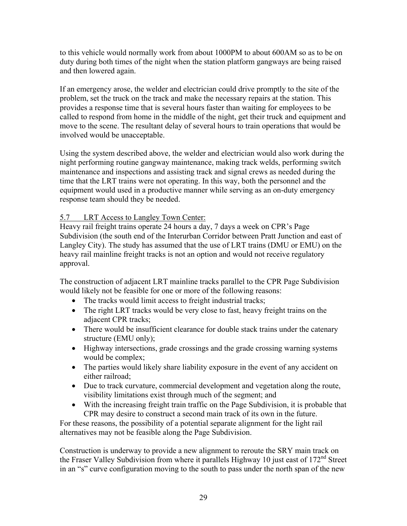to this vehicle would normally work from about 1000PM to about 600AM so as to be on duty during both times of the night when the station platform gangways are being raised and then lowered again.

If an emergency arose, the welder and electrician could drive promptly to the site of the problem, set the truck on the track and make the necessary repairs at the station. This provides a response time that is several hours faster than waiting for employees to be called to respond from home in the middle of the night, get their truck and equipment and move to the scene. The resultant delay of several hours to train operations that would be involved would be unacceptable.

Using the system described above, the welder and electrician would also work during the night performing routine gangway maintenance, making track welds, performing switch maintenance and inspections and assisting track and signal crews as needed during the time that the LRT trains were not operating. In this way, both the personnel and the equipment would used in a productive manner while serving as an on-duty emergency response team should they be needed.

### 5.7 LRT Access to Langley Town Center:

Heavy rail freight trains operate 24 hours a day, 7 days a week on CPR's Page Subdivision (the south end of the Interurban Corridor between Pratt Junction and east of Langley City). The study has assumed that the use of LRT trains (DMU or EMU) on the heavy rail mainline freight tracks is not an option and would not receive regulatory approval.

The construction of adjacent LRT mainline tracks parallel to the CPR Page Subdivision would likely not be feasible for one or more of the following reasons:

- The tracks would limit access to freight industrial tracks;
- The right LRT tracks would be very close to fast, heavy freight trains on the adjacent CPR tracks;
- There would be insufficient clearance for double stack trains under the catenary structure (EMU only);
- Highway intersections, grade crossings and the grade crossing warning systems would be complex;
- The parties would likely share liability exposure in the event of any accident on either railroad;
- Due to track curvature, commercial development and vegetation along the route, visibility limitations exist through much of the segment; and
- With the increasing freight train traffic on the Page Subdivision, it is probable that CPR may desire to construct a second main track of its own in the future.

For these reasons, the possibility of a potential separate alignment for the light rail alternatives may not be feasible along the Page Subdivision.

Construction is underway to provide a new alignment to reroute the SRY main track on the Fraser Valley Subdivision from where it parallels Highway 10 just east of  $172<sup>nd</sup>$  Street in an "s" curve configuration moving to the south to pass under the north span of the new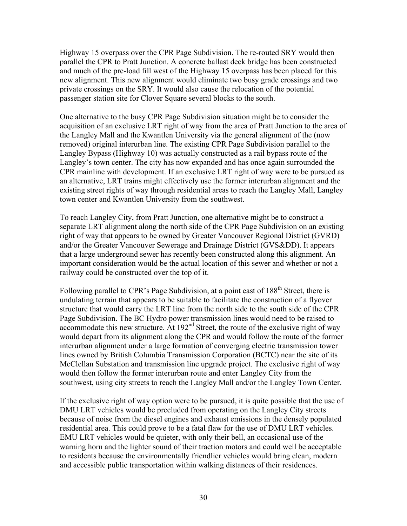Highway 15 overpass over the CPR Page Subdivision. The re-routed SRY would then parallel the CPR to Pratt Junction. A concrete ballast deck bridge has been constructed and much of the pre-load fill west of the Highway 15 overpass has been placed for this new alignment. This new alignment would eliminate two busy grade crossings and two private crossings on the SRY. It would also cause the relocation of the potential passenger station site for Clover Square several blocks to the south.

One alternative to the busy CPR Page Subdivision situation might be to consider the acquisition of an exclusive LRT right of way from the area of Pratt Junction to the area of the Langley Mall and the Kwantlen University via the general alignment of the (now removed) original interurban line. The existing CPR Page Subdivision parallel to the Langley Bypass (Highway 10) was actually constructed as a rail bypass route of the Langley's town center. The city has now expanded and has once again surrounded the CPR mainline with development. If an exclusive LRT right of way were to be pursued as an alternative, LRT trains might effectively use the former interurban alignment and the existing street rights of way through residential areas to reach the Langley Mall, Langley town center and Kwantlen University from the southwest.

To reach Langley City, from Pratt Junction, one alternative might be to construct a separate LRT alignment along the north side of the CPR Page Subdivision on an existing right of way that appears to be owned by Greater Vancouver Regional District (GVRD) and/or the Greater Vancouver Sewerage and Drainage District (GVS&DD). It appears that a large underground sewer has recently been constructed along this alignment. An important consideration would be the actual location of this sewer and whether or not a railway could be constructed over the top of it.

Following parallel to CPR's Page Subdivision, at a point east of 188<sup>th</sup> Street, there is undulating terrain that appears to be suitable to facilitate the construction of a flyover structure that would carry the LRT line from the north side to the south side of the CPR Page Subdivision. The BC Hydro power transmission lines would need to be raised to accommodate this new structure. At  $192<sup>nd</sup>$  Street, the route of the exclusive right of way would depart from its alignment along the CPR and would follow the route of the former interurban alignment under a large formation of converging electric transmission tower lines owned by British Columbia Transmission Corporation (BCTC) near the site of its McClellan Substation and transmission line upgrade project. The exclusive right of way would then follow the former interurban route and enter Langley City from the southwest, using city streets to reach the Langley Mall and/or the Langley Town Center.

If the exclusive right of way option were to be pursued, it is quite possible that the use of DMU LRT vehicles would be precluded from operating on the Langley City streets because of noise from the diesel engines and exhaust emissions in the densely populated residential area. This could prove to be a fatal flaw for the use of DMU LRT vehicles. EMU LRT vehicles would be quieter, with only their bell, an occasional use of the warning horn and the lighter sound of their traction motors and could well be acceptable to residents because the environmentally friendlier vehicles would bring clean, modern and accessible public transportation within walking distances of their residences.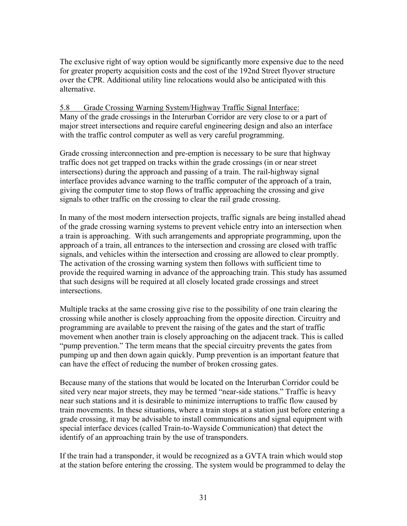The exclusive right of way option would be significantly more expensive due to the need for greater property acquisition costs and the cost of the 192nd Street flyover structure over the CPR. Additional utility line relocations would also be anticipated with this alternative.

#### 5.8 Grade Crossing Warning System/Highway Traffic Signal Interface: Many of the grade crossings in the Interurban Corridor are very close to or a part of major street intersections and require careful engineering design and also an interface with the traffic control computer as well as very careful programming.

Grade crossing interconnection and pre-emption is necessary to be sure that highway traffic does not get trapped on tracks within the grade crossings (in or near street intersections) during the approach and passing of a train. The rail-highway signal interface provides advance warning to the traffic computer of the approach of a train, giving the computer time to stop flows of traffic approaching the crossing and give signals to other traffic on the crossing to clear the rail grade crossing.

In many of the most modern intersection projects, traffic signals are being installed ahead of the grade crossing warning systems to prevent vehicle entry into an intersection when a train is approaching. With such arrangements and appropriate programming, upon the approach of a train, all entrances to the intersection and crossing are closed with traffic signals, and vehicles within the intersection and crossing are allowed to clear promptly. The activation of the crossing warning system then follows with sufficient time to provide the required warning in advance of the approaching train. This study has assumed that such designs will be required at all closely located grade crossings and street intersections.

Multiple tracks at the same crossing give rise to the possibility of one train clearing the crossing while another is closely approaching from the opposite direction. Circuitry and programming are available to prevent the raising of the gates and the start of traffic movement when another train is closely approaching on the adjacent track. This is called "pump prevention." The term means that the special circuitry prevents the gates from pumping up and then down again quickly. Pump prevention is an important feature that can have the effect of reducing the number of broken crossing gates.

Because many of the stations that would be located on the Interurban Corridor could be sited very near major streets, they may be termed "near-side stations." Traffic is heavy near such stations and it is desirable to minimize interruptions to traffic flow caused by train movements. In these situations, where a train stops at a station just before entering a grade crossing, it may be advisable to install communications and signal equipment with special interface devices (called Train-to-Wayside Communication) that detect the identify of an approaching train by the use of transponders.

If the train had a transponder, it would be recognized as a GVTA train which would stop at the station before entering the crossing. The system would be programmed to delay the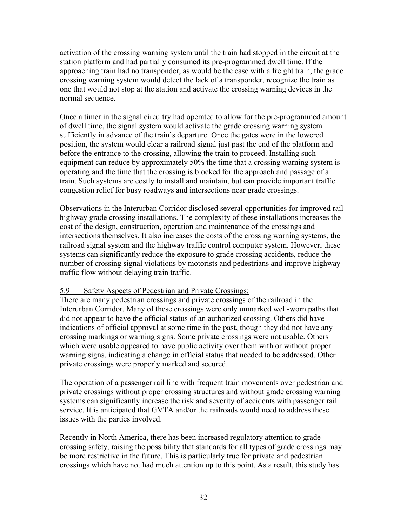activation of the crossing warning system until the train had stopped in the circuit at the station platform and had partially consumed its pre-programmed dwell time. If the approaching train had no transponder, as would be the case with a freight train, the grade crossing warning system would detect the lack of a transponder, recognize the train as one that would not stop at the station and activate the crossing warning devices in the normal sequence.

Once a timer in the signal circuitry had operated to allow for the pre-programmed amount of dwell time, the signal system would activate the grade crossing warning system sufficiently in advance of the train's departure. Once the gates were in the lowered position, the system would clear a railroad signal just past the end of the platform and before the entrance to the crossing, allowing the train to proceed. Installing such equipment can reduce by approximately 50% the time that a crossing warning system is operating and the time that the crossing is blocked for the approach and passage of a train. Such systems are costly to install and maintain, but can provide important traffic congestion relief for busy roadways and intersections near grade crossings.

Observations in the Interurban Corridor disclosed several opportunities for improved railhighway grade crossing installations. The complexity of these installations increases the cost of the design, construction, operation and maintenance of the crossings and intersections themselves. It also increases the costs of the crossing warning systems, the railroad signal system and the highway traffic control computer system. However, these systems can significantly reduce the exposure to grade crossing accidents, reduce the number of crossing signal violations by motorists and pedestrians and improve highway traffic flow without delaying train traffic.

#### 5.9 Safety Aspects of Pedestrian and Private Crossings:

There are many pedestrian crossings and private crossings of the railroad in the Interurban Corridor. Many of these crossings were only unmarked well-worn paths that did not appear to have the official status of an authorized crossing. Others did have indications of official approval at some time in the past, though they did not have any crossing markings or warning signs. Some private crossings were not usable. Others which were usable appeared to have public activity over them with or without proper warning signs, indicating a change in official status that needed to be addressed. Other private crossings were properly marked and secured.

The operation of a passenger rail line with frequent train movements over pedestrian and private crossings without proper crossing structures and without grade crossing warning systems can significantly increase the risk and severity of accidents with passenger rail service. It is anticipated that GVTA and/or the railroads would need to address these issues with the parties involved.

Recently in North America, there has been increased regulatory attention to grade crossing safety, raising the possibility that standards for all types of grade crossings may be more restrictive in the future. This is particularly true for private and pedestrian crossings which have not had much attention up to this point. As a result, this study has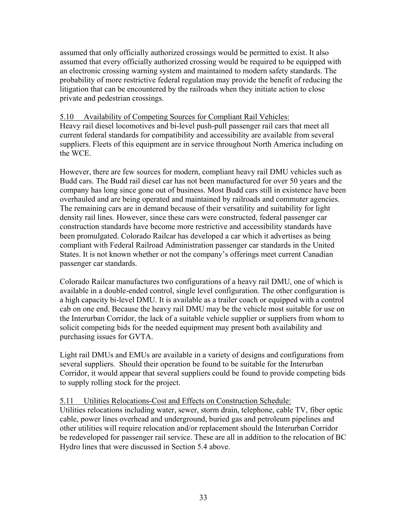assumed that only officially authorized crossings would be permitted to exist. It also assumed that every officially authorized crossing would be required to be equipped with an electronic crossing warning system and maintained to modern safety standards. The probability of more restrictive federal regulation may provide the benefit of reducing the litigation that can be encountered by the railroads when they initiate action to close private and pedestrian crossings.

#### 5.10 Availability of Competing Sources for Compliant Rail Vehicles:

Heavy rail diesel locomotives and bi-level push-pull passenger rail cars that meet all current federal standards for compatibility and accessibility are available from several suppliers. Fleets of this equipment are in service throughout North America including on the WCE.

However, there are few sources for modern, compliant heavy rail DMU vehicles such as Budd cars. The Budd rail diesel car has not been manufactured for over 50 years and the company has long since gone out of business. Most Budd cars still in existence have been overhauled and are being operated and maintained by railroads and commuter agencies. The remaining cars are in demand because of their versatility and suitability for light density rail lines. However, since these cars were constructed, federal passenger car construction standards have become more restrictive and accessibility standards have been promulgated. Colorado Railcar has developed a car which it advertises as being compliant with Federal Railroad Administration passenger car standards in the United States. It is not known whether or not the company's offerings meet current Canadian passenger car standards.

Colorado Railcar manufactures two configurations of a heavy rail DMU, one of which is available in a double-ended control, single level configuration. The other configuration is a high capacity bi-level DMU. It is available as a trailer coach or equipped with a control cab on one end. Because the heavy rail DMU may be the vehicle most suitable for use on the Interurban Corridor, the lack of a suitable vehicle supplier or suppliers from whom to solicit competing bids for the needed equipment may present both availability and purchasing issues for GVTA.

Light rail DMUs and EMUs are available in a variety of designs and configurations from several suppliers. Should their operation be found to be suitable for the Interurban Corridor, it would appear that several suppliers could be found to provide competing bids to supply rolling stock for the project.

#### 5.11 Utilities Relocations-Cost and Effects on Construction Schedule:

Utilities relocations including water, sewer, storm drain, telephone, cable TV, fiber optic cable, power lines overhead and underground, buried gas and petroleum pipelines and other utilities will require relocation and/or replacement should the Interurban Corridor be redeveloped for passenger rail service. These are all in addition to the relocation of BC Hydro lines that were discussed in Section 5.4 above.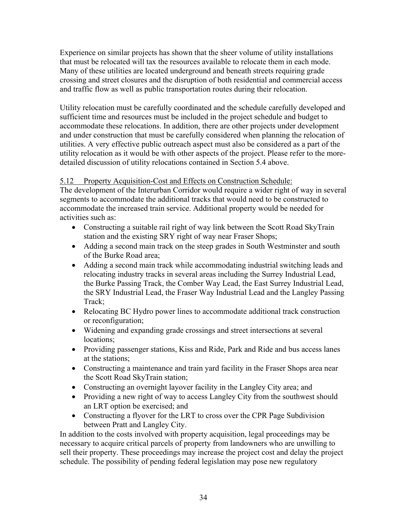Experience on similar projects has shown that the sheer volume of utility installations that must be relocated will tax the resources available to relocate them in each mode. Many of these utilities are located underground and beneath streets requiring grade crossing and street closures and the disruption of both residential and commercial access and traffic flow as well as public transportation routes during their relocation.

Utility relocation must be carefully coordinated and the schedule carefully developed and sufficient time and resources must be included in the project schedule and budget to accommodate these relocations. In addition, there are other projects under development and under construction that must be carefully considered when planning the relocation of utilities. A very effective public outreach aspect must also be considered as a part of the utility relocation as it would be with other aspects of the project. Please refer to the moredetailed discussion of utility relocations contained in Section 5.4 above.

# 5.12 Property Acquisition-Cost and Effects on Construction Schedule:

The development of the Interurban Corridor would require a wider right of way in several segments to accommodate the additional tracks that would need to be constructed to accommodate the increased train service. Additional property would be needed for activities such as:

- Constructing a suitable rail right of way link between the Scott Road SkyTrain station and the existing SRY right of way near Fraser Shops;
- Adding a second main track on the steep grades in South Westminster and south of the Burke Road area;
- Adding a second main track while accommodating industrial switching leads and relocating industry tracks in several areas including the Surrey Industrial Lead, the Burke Passing Track, the Comber Way Lead, the East Surrey Industrial Lead, the SRY Industrial Lead, the Fraser Way Industrial Lead and the Langley Passing Track;
- Relocating BC Hydro power lines to accommodate additional track construction or reconfiguration;
- Widening and expanding grade crossings and street intersections at several locations;
- Providing passenger stations, Kiss and Ride, Park and Ride and bus access lanes at the stations;
- Constructing a maintenance and train yard facility in the Fraser Shops area near the Scott Road SkyTrain station;
- Constructing an overnight layover facility in the Langley City area; and
- Providing a new right of way to access Langley City from the southwest should an LRT option be exercised; and
- Constructing a flyover for the LRT to cross over the CPR Page Subdivision between Pratt and Langley City.

In addition to the costs involved with property acquisition, legal proceedings may be necessary to acquire critical parcels of property from landowners who are unwilling to sell their property. These proceedings may increase the project cost and delay the project schedule. The possibility of pending federal legislation may pose new regulatory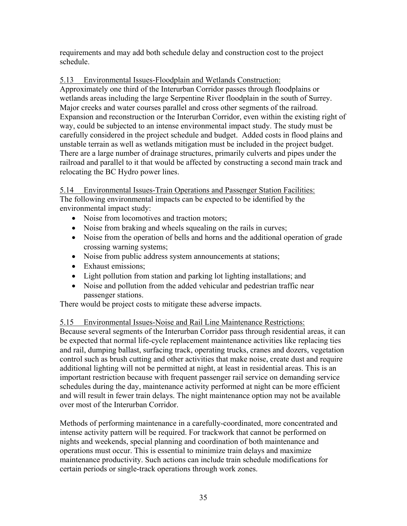requirements and may add both schedule delay and construction cost to the project schedule.

### 5.13 Environmental Issues-Floodplain and Wetlands Construction:

Approximately one third of the Interurban Corridor passes through floodplains or wetlands areas including the large Serpentine River floodplain in the south of Surrey. Major creeks and water courses parallel and cross other segments of the railroad. Expansion and reconstruction or the Interurban Corridor, even within the existing right of way, could be subjected to an intense environmental impact study. The study must be carefully considered in the project schedule and budget. Added costs in flood plains and unstable terrain as well as wetlands mitigation must be included in the project budget. There are a large number of drainage structures, primarily culverts and pipes under the railroad and parallel to it that would be affected by constructing a second main track and relocating the BC Hydro power lines.

5.14 Environmental Issues-Train Operations and Passenger Station Facilities: The following environmental impacts can be expected to be identified by the environmental impact study:

- Noise from locomotives and traction motors;
- Noise from braking and wheels squealing on the rails in curves;
- Noise from the operation of bells and horns and the additional operation of grade crossing warning systems;
- Noise from public address system announcements at stations;
- Exhaust emissions;
- Light pollution from station and parking lot lighting installations; and
- Noise and pollution from the added vehicular and pedestrian traffic near passenger stations.

There would be project costs to mitigate these adverse impacts.

# 5.15 Environmental Issues-Noise and Rail Line Maintenance Restrictions:

Because several segments of the Interurban Corridor pass through residential areas, it can be expected that normal life-cycle replacement maintenance activities like replacing ties and rail, dumping ballast, surfacing track, operating trucks, cranes and dozers, vegetation control such as brush cutting and other activities that make noise, create dust and require additional lighting will not be permitted at night, at least in residential areas. This is an important restriction because with frequent passenger rail service on demanding service schedules during the day, maintenance activity performed at night can be more efficient and will result in fewer train delays. The night maintenance option may not be available over most of the Interurban Corridor.

Methods of performing maintenance in a carefully-coordinated, more concentrated and intense activity pattern will be required. For trackwork that cannot be performed on nights and weekends, special planning and coordination of both maintenance and operations must occur. This is essential to minimize train delays and maximize maintenance productivity. Such actions can include train schedule modifications for certain periods or single-track operations through work zones.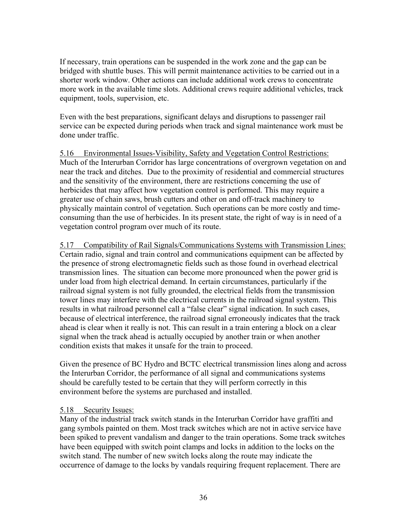If necessary, train operations can be suspended in the work zone and the gap can be bridged with shuttle buses. This will permit maintenance activities to be carried out in a shorter work window. Other actions can include additional work crews to concentrate more work in the available time slots. Additional crews require additional vehicles, track equipment, tools, supervision, etc.

Even with the best preparations, significant delays and disruptions to passenger rail service can be expected during periods when track and signal maintenance work must be done under traffic.

5.16 Environmental Issues-Visibility, Safety and Vegetation Control Restrictions: Much of the Interurban Corridor has large concentrations of overgrown vegetation on and near the track and ditches. Due to the proximity of residential and commercial structures and the sensitivity of the environment, there are restrictions concerning the use of herbicides that may affect how vegetation control is performed. This may require a greater use of chain saws, brush cutters and other on and off-track machinery to physically maintain control of vegetation. Such operations can be more costly and timeconsuming than the use of herbicides. In its present state, the right of way is in need of a vegetation control program over much of its route.

5.17 Compatibility of Rail Signals/Communications Systems with Transmission Lines: Certain radio, signal and train control and communications equipment can be affected by the presence of strong electromagnetic fields such as those found in overhead electrical transmission lines. The situation can become more pronounced when the power grid is under load from high electrical demand. In certain circumstances, particularly if the railroad signal system is not fully grounded, the electrical fields from the transmission tower lines may interfere with the electrical currents in the railroad signal system. This results in what railroad personnel call a "false clear" signal indication. In such cases, because of electrical interference, the railroad signal erroneously indicates that the track ahead is clear when it really is not. This can result in a train entering a block on a clear signal when the track ahead is actually occupied by another train or when another condition exists that makes it unsafe for the train to proceed.

Given the presence of BC Hydro and BCTC electrical transmission lines along and across the Interurban Corridor, the performance of all signal and communications systems should be carefully tested to be certain that they will perform correctly in this environment before the systems are purchased and installed.

#### 5.18 Security Issues:

Many of the industrial track switch stands in the Interurban Corridor have graffiti and gang symbols painted on them. Most track switches which are not in active service have been spiked to prevent vandalism and danger to the train operations. Some track switches have been equipped with switch point clamps and locks in addition to the locks on the switch stand. The number of new switch locks along the route may indicate the occurrence of damage to the locks by vandals requiring frequent replacement. There are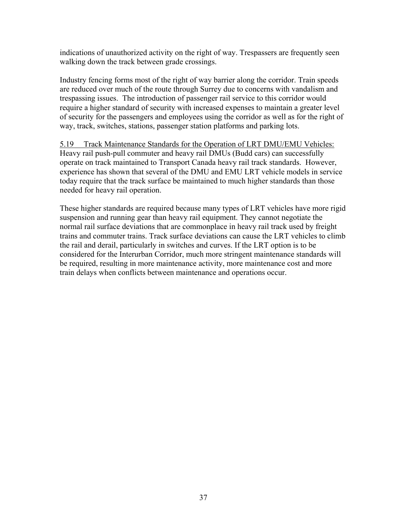indications of unauthorized activity on the right of way. Trespassers are frequently seen walking down the track between grade crossings.

Industry fencing forms most of the right of way barrier along the corridor. Train speeds are reduced over much of the route through Surrey due to concerns with vandalism and trespassing issues. The introduction of passenger rail service to this corridor would require a higher standard of security with increased expenses to maintain a greater level of security for the passengers and employees using the corridor as well as for the right of way, track, switches, stations, passenger station platforms and parking lots.

5.19 Track Maintenance Standards for the Operation of LRT DMU/EMU Vehicles: Heavy rail push-pull commuter and heavy rail DMUs (Budd cars) can successfully operate on track maintained to Transport Canada heavy rail track standards. However, experience has shown that several of the DMU and EMU LRT vehicle models in service today require that the track surface be maintained to much higher standards than those needed for heavy rail operation.

These higher standards are required because many types of LRT vehicles have more rigid suspension and running gear than heavy rail equipment. They cannot negotiate the normal rail surface deviations that are commonplace in heavy rail track used by freight trains and commuter trains. Track surface deviations can cause the LRT vehicles to climb the rail and derail, particularly in switches and curves. If the LRT option is to be considered for the Interurban Corridor, much more stringent maintenance standards will be required, resulting in more maintenance activity, more maintenance cost and more train delays when conflicts between maintenance and operations occur.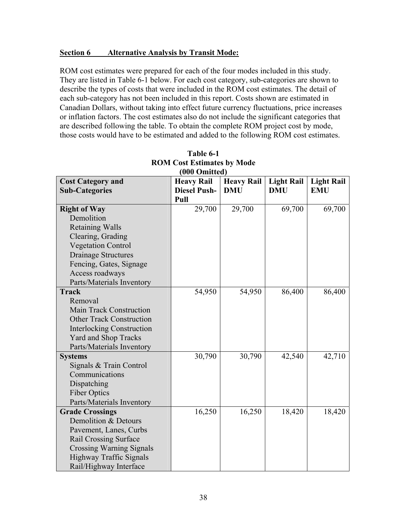#### **Section 6 Alternative Analysis by Transit Mode:**

ROM cost estimates were prepared for each of the four modes included in this study. They are listed in Table 6-1 below. For each cost category, sub-categories are shown to describe the types of costs that were included in the ROM cost estimates. The detail of each sub-category has not been included in this report. Costs shown are estimated in Canadian Dollars, without taking into effect future currency fluctuations, price increases or inflation factors. The cost estimates also do not include the significant categories that are described following the table. To obtain the complete ROM project cost by mode, those costs would have to be estimated and added to the following ROM cost estimates.

| <b>Cost Category and</b>         | <u>vvv viinuvu</u><br><b>Heavy Rail</b> | <b>Heavy Rail</b> | <b>Light Rail</b> | <b>Light Rail</b> |
|----------------------------------|-----------------------------------------|-------------------|-------------------|-------------------|
| <b>Sub-Categories</b>            | <b>Diesel Push-</b>                     | <b>DMU</b>        | <b>DMU</b>        | <b>EMU</b>        |
|                                  | Pull                                    |                   |                   |                   |
| <b>Right of Way</b>              | 29,700                                  | 29,700            | 69,700            | 69,700            |
| Demolition                       |                                         |                   |                   |                   |
| <b>Retaining Walls</b>           |                                         |                   |                   |                   |
| Clearing, Grading                |                                         |                   |                   |                   |
| <b>Vegetation Control</b>        |                                         |                   |                   |                   |
| <b>Drainage Structures</b>       |                                         |                   |                   |                   |
| Fencing, Gates, Signage          |                                         |                   |                   |                   |
| Access roadways                  |                                         |                   |                   |                   |
| Parts/Materials Inventory        |                                         |                   |                   |                   |
| <b>Track</b>                     | 54,950                                  | 54,950            | 86,400            | 86,400            |
| Removal                          |                                         |                   |                   |                   |
| <b>Main Track Construction</b>   |                                         |                   |                   |                   |
| <b>Other Track Construction</b>  |                                         |                   |                   |                   |
| <b>Interlocking Construction</b> |                                         |                   |                   |                   |
| <b>Yard and Shop Tracks</b>      |                                         |                   |                   |                   |
| Parts/Materials Inventory        |                                         |                   |                   |                   |
| <b>Systems</b>                   | 30,790                                  | 30,790            | 42,540            | 42,710            |
| Signals & Train Control          |                                         |                   |                   |                   |
| Communications                   |                                         |                   |                   |                   |
| Dispatching                      |                                         |                   |                   |                   |
| <b>Fiber Optics</b>              |                                         |                   |                   |                   |
| Parts/Materials Inventory        |                                         |                   |                   |                   |
| <b>Grade Crossings</b>           | 16,250                                  | 16,250            | 18,420            | 18,420            |
| Demolition & Detours             |                                         |                   |                   |                   |
| Pavement, Lanes, Curbs           |                                         |                   |                   |                   |
| <b>Rail Crossing Surface</b>     |                                         |                   |                   |                   |
| <b>Crossing Warning Signals</b>  |                                         |                   |                   |                   |
| <b>Highway Traffic Signals</b>   |                                         |                   |                   |                   |
| Rail/Highway Interface           |                                         |                   |                   |                   |

| Table 6-1                         |
|-----------------------------------|
| <b>ROM Cost Estimates by Mode</b> |
| (000 Omitted)                     |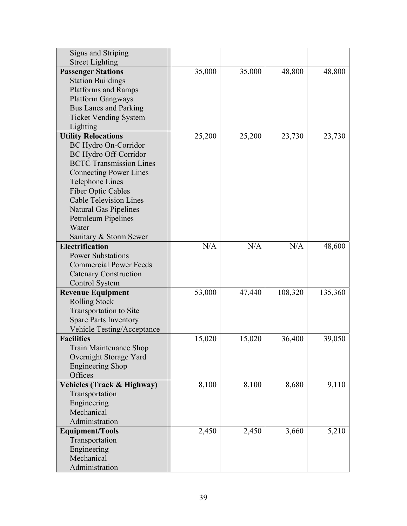| Signs and Striping                                                                                        |        |        |         |         |
|-----------------------------------------------------------------------------------------------------------|--------|--------|---------|---------|
| <b>Street Lighting</b>                                                                                    |        |        |         |         |
| <b>Passenger Stations</b>                                                                                 | 35,000 | 35,000 | 48,800  | 48,800  |
| <b>Station Buildings</b>                                                                                  |        |        |         |         |
| <b>Platforms and Ramps</b>                                                                                |        |        |         |         |
| <b>Platform Gangways</b>                                                                                  |        |        |         |         |
| <b>Bus Lanes and Parking</b>                                                                              |        |        |         |         |
| <b>Ticket Vending System</b>                                                                              |        |        |         |         |
| Lighting                                                                                                  |        |        |         |         |
| <b>Utility Relocations</b>                                                                                | 25,200 | 25,200 | 23,730  | 23,730  |
| <b>BC Hydro On-Corridor</b>                                                                               |        |        |         |         |
| BC Hydro Off-Corridor                                                                                     |        |        |         |         |
| <b>BCTC Transmission Lines</b>                                                                            |        |        |         |         |
| <b>Connecting Power Lines</b>                                                                             |        |        |         |         |
| <b>Telephone Lines</b>                                                                                    |        |        |         |         |
| <b>Fiber Optic Cables</b>                                                                                 |        |        |         |         |
| <b>Cable Television Lines</b>                                                                             |        |        |         |         |
| <b>Natural Gas Pipelines</b>                                                                              |        |        |         |         |
| Petroleum Pipelines                                                                                       |        |        |         |         |
| Water                                                                                                     |        |        |         |         |
| Sanitary & Storm Sewer                                                                                    |        |        |         |         |
| Electrification                                                                                           | N/A    | N/A    | N/A     | 48,600  |
| <b>Power Substations</b>                                                                                  |        |        |         |         |
| <b>Commercial Power Feeds</b>                                                                             |        |        |         |         |
| <b>Catenary Construction</b>                                                                              |        |        |         |         |
| <b>Control System</b>                                                                                     |        |        |         |         |
| <b>Revenue Equipment</b>                                                                                  | 53,000 | 47,440 | 108,320 | 135,360 |
| <b>Rolling Stock</b>                                                                                      |        |        |         |         |
| <b>Transportation to Site</b>                                                                             |        |        |         |         |
| <b>Spare Parts Inventory</b>                                                                              |        |        |         |         |
| <b>Vehicle Testing/Acceptance</b>                                                                         |        |        |         |         |
| <b>Facilities</b>                                                                                         | 15,020 | 15,020 | 36,400  | 39,050  |
| Train Maintenance Shop                                                                                    |        |        |         |         |
| Overnight Storage Yard                                                                                    |        |        |         |         |
| <b>Engineering Shop</b><br>Offices                                                                        |        |        |         |         |
| <b>Vehicles (Track &amp; Highway)</b>                                                                     | 8,100  | 8,100  | 8,680   | 9,110   |
| Transportation                                                                                            |        |        |         |         |
| Engineering                                                                                               |        |        |         |         |
| Mechanical                                                                                                |        |        |         |         |
|                                                                                                           |        |        |         |         |
|                                                                                                           |        |        |         |         |
|                                                                                                           |        |        |         |         |
|                                                                                                           |        |        |         |         |
|                                                                                                           |        |        |         |         |
|                                                                                                           |        |        |         |         |
| Administration<br><b>Equipment/Tools</b><br>Transportation<br>Engineering<br>Mechanical<br>Administration | 2,450  | 2,450  | 3,660   | 5,210   |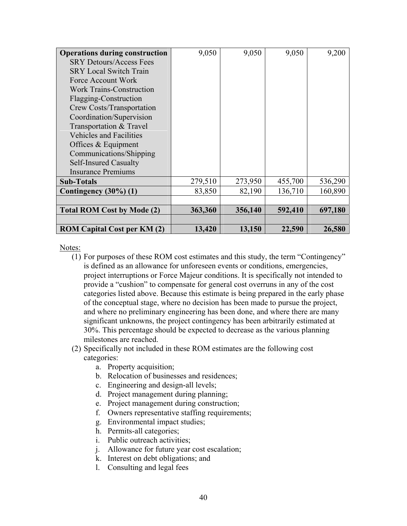| <b>Operations during construction</b> | 9,050   | 9,050   | 9,050   | 9,200   |
|---------------------------------------|---------|---------|---------|---------|
| <b>SRY Detours/Access Fees</b>        |         |         |         |         |
| <b>SRY Local Switch Train</b>         |         |         |         |         |
| Force Account Work                    |         |         |         |         |
| <b>Work Trains-Construction</b>       |         |         |         |         |
| Flagging-Construction                 |         |         |         |         |
| Crew Costs/Transportation             |         |         |         |         |
| Coordination/Supervision              |         |         |         |         |
| Transportation & Travel               |         |         |         |         |
| <b>Vehicles and Facilities</b>        |         |         |         |         |
| Offices $&$ Equipment                 |         |         |         |         |
| Communications/Shipping               |         |         |         |         |
| <b>Self-Insured Casualty</b>          |         |         |         |         |
| <b>Insurance Premiums</b>             |         |         |         |         |
| <b>Sub-Totals</b>                     | 279,510 | 273,950 | 455,700 | 536,290 |
| Contingency $(30\%)$ (1)              | 83,850  | 82,190  | 136,710 | 160,890 |
|                                       |         |         |         |         |
| <b>Total ROM Cost by Mode (2)</b>     | 363,360 | 356,140 | 592,410 | 697,180 |
|                                       |         |         |         |         |
| <b>ROM Capital Cost per KM (2)</b>    | 13,420  | 13,150  | 22,590  | 26,580  |

Notes:

- (1) For purposes of these ROM cost estimates and this study, the term "Contingency" is defined as an allowance for unforeseen events or conditions, emergencies, project interruptions or Force Majeur conditions. It is specifically not intended to provide a "cushion" to compensate for general cost overruns in any of the cost categories listed above. Because this estimate is being prepared in the early phase of the conceptual stage, where no decision has been made to pursue the project, and where no preliminary engineering has been done, and where there are many significant unknowns, the project contingency has been arbitrarily estimated at 30%. This percentage should be expected to decrease as the various planning milestones are reached.
- (2) Specifically not included in these ROM estimates are the following cost categories:
	- a. Property acquisition;
	- b. Relocation of businesses and residences;
	- c. Engineering and design-all levels;
	- d. Project management during planning;
	- e. Project management during construction;
	- f. Owners representative staffing requirements;
	- g. Environmental impact studies;
	- h. Permits-all categories;
	- i. Public outreach activities;
	- j. Allowance for future year cost escalation;
	- k. Interest on debt obligations; and
	- l. Consulting and legal fees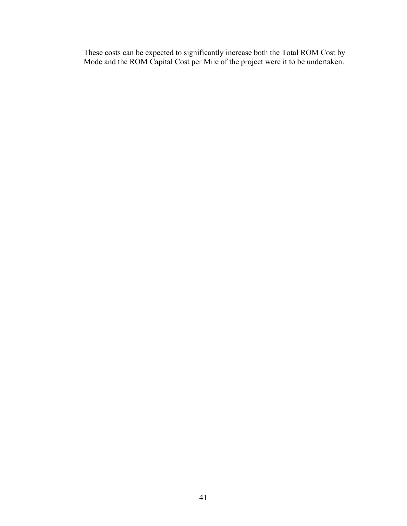These costs can be expected to significantly increase both the Total ROM Cost by Mode and the ROM Capital Cost per Mile of the project were it to be undertaken.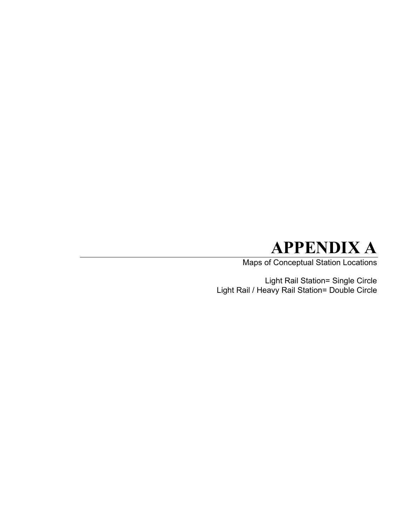# **APPENDIX A**

Maps of Conceptual Station Locations

Light Rail Station= Single Circle Light Rail / Heavy Rail Station= Double Circle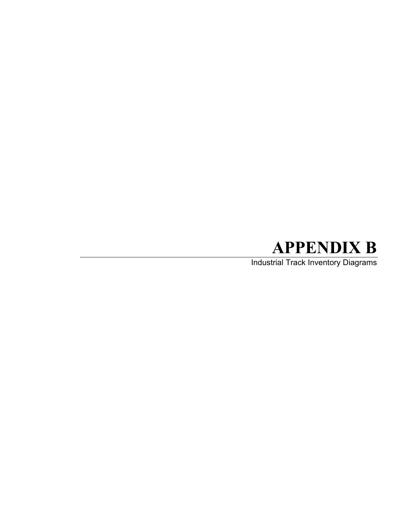# **APPENDIX B**

Industrial Track Inventory Diagrams